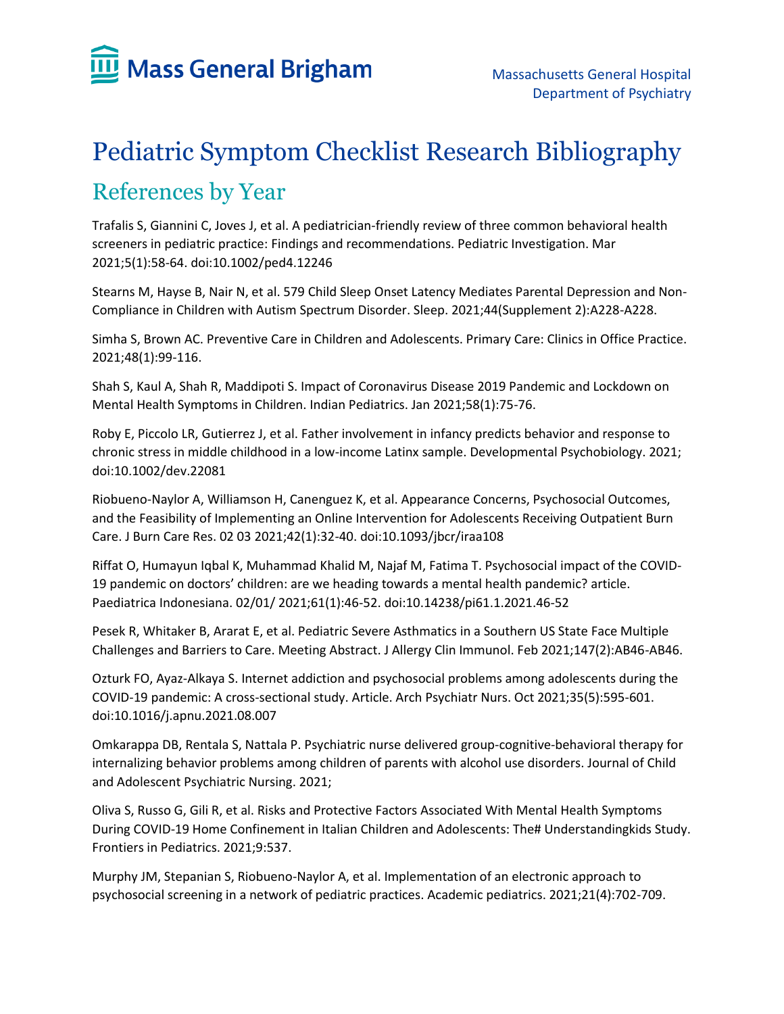

## Pediatric Symptom Checklist Research Bibliography References by Year

Trafalis S, Giannini C, Joves J, et al. A pediatrician-friendly review of three common behavioral health screeners in pediatric practice: Findings and recommendations. Pediatric Investigation. Mar 2021;5(1):58-64. doi:10.1002/ped4.12246

Stearns M, Hayse B, Nair N, et al. 579 Child Sleep Onset Latency Mediates Parental Depression and Non-Compliance in Children with Autism Spectrum Disorder. Sleep. 2021;44(Supplement 2):A228-A228.

Simha S, Brown AC. Preventive Care in Children and Adolescents. Primary Care: Clinics in Office Practice. 2021;48(1):99-116.

Shah S, Kaul A, Shah R, Maddipoti S. Impact of Coronavirus Disease 2019 Pandemic and Lockdown on Mental Health Symptoms in Children. Indian Pediatrics. Jan 2021;58(1):75-76.

Roby E, Piccolo LR, Gutierrez J, et al. Father involvement in infancy predicts behavior and response to chronic stress in middle childhood in a low-income Latinx sample. Developmental Psychobiology. 2021; doi:10.1002/dev.22081

Riobueno-Naylor A, Williamson H, Canenguez K, et al. Appearance Concerns, Psychosocial Outcomes, and the Feasibility of Implementing an Online Intervention for Adolescents Receiving Outpatient Burn Care. J Burn Care Res. 02 03 2021;42(1):32-40. doi:10.1093/jbcr/iraa108

Riffat O, Humayun Iqbal K, Muhammad Khalid M, Najaf M, Fatima T. Psychosocial impact of the COVID-19 pandemic on doctors' children: are we heading towards a mental health pandemic? article. Paediatrica Indonesiana. 02/01/ 2021;61(1):46-52. doi:10.14238/pi61.1.2021.46-52

Pesek R, Whitaker B, Ararat E, et al. Pediatric Severe Asthmatics in a Southern US State Face Multiple Challenges and Barriers to Care. Meeting Abstract. J Allergy Clin Immunol. Feb 2021;147(2):AB46-AB46.

Ozturk FO, Ayaz-Alkaya S. Internet addiction and psychosocial problems among adolescents during the COVID-19 pandemic: A cross-sectional study. Article. Arch Psychiatr Nurs. Oct 2021;35(5):595-601. doi:10.1016/j.apnu.2021.08.007

Omkarappa DB, Rentala S, Nattala P. Psychiatric nurse delivered group‐cognitive‐behavioral therapy for internalizing behavior problems among children of parents with alcohol use disorders. Journal of Child and Adolescent Psychiatric Nursing. 2021;

Oliva S, Russo G, Gili R, et al. Risks and Protective Factors Associated With Mental Health Symptoms During COVID-19 Home Confinement in Italian Children and Adolescents: The# Understandingkids Study. Frontiers in Pediatrics. 2021;9:537.

Murphy JM, Stepanian S, Riobueno-Naylor A, et al. Implementation of an electronic approach to psychosocial screening in a network of pediatric practices. Academic pediatrics. 2021;21(4):702-709.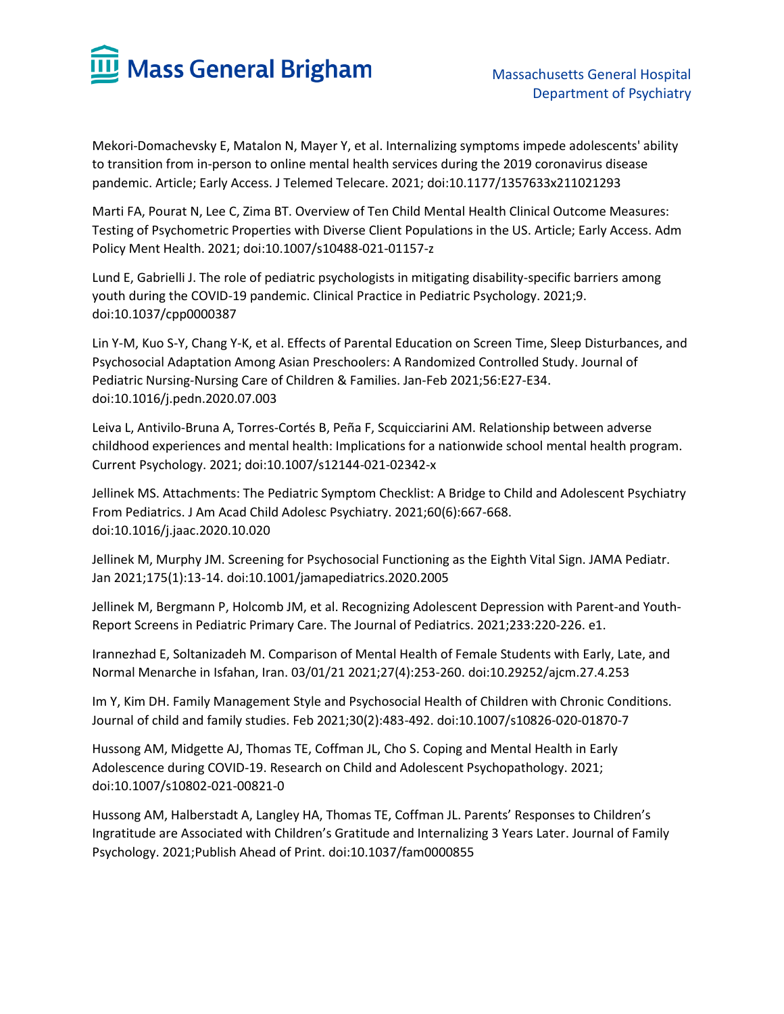

Mekori-Domachevsky E, Matalon N, Mayer Y, et al. Internalizing symptoms impede adolescents' ability to transition from in-person to online mental health services during the 2019 coronavirus disease pandemic. Article; Early Access. J Telemed Telecare. 2021; doi:10.1177/1357633x211021293

Marti FA, Pourat N, Lee C, Zima BT. Overview of Ten Child Mental Health Clinical Outcome Measures: Testing of Psychometric Properties with Diverse Client Populations in the US. Article; Early Access. Adm Policy Ment Health. 2021; doi:10.1007/s10488-021-01157-z

Lund E, Gabrielli J. The role of pediatric psychologists in mitigating disability-specific barriers among youth during the COVID-19 pandemic. Clinical Practice in Pediatric Psychology. 2021;9. doi:10.1037/cpp0000387

Lin Y-M, Kuo S-Y, Chang Y-K, et al. Effects of Parental Education on Screen Time, Sleep Disturbances, and Psychosocial Adaptation Among Asian Preschoolers: A Randomized Controlled Study. Journal of Pediatric Nursing-Nursing Care of Children & Families. Jan-Feb 2021;56:E27-E34. doi:10.1016/j.pedn.2020.07.003

Leiva L, Antivilo-Bruna A, Torres-Cortés B, Peña F, Scquicciarini AM. Relationship between adverse childhood experiences and mental health: Implications for a nationwide school mental health program. Current Psychology. 2021; doi:10.1007/s12144-021-02342-x

Jellinek MS. Attachments: The Pediatric Symptom Checklist: A Bridge to Child and Adolescent Psychiatry From Pediatrics. J Am Acad Child Adolesc Psychiatry. 2021;60(6):667-668. doi:10.1016/j.jaac.2020.10.020

Jellinek M, Murphy JM. Screening for Psychosocial Functioning as the Eighth Vital Sign. JAMA Pediatr. Jan 2021;175(1):13-14. doi:10.1001/jamapediatrics.2020.2005

Jellinek M, Bergmann P, Holcomb JM, et al. Recognizing Adolescent Depression with Parent-and Youth-Report Screens in Pediatric Primary Care. The Journal of Pediatrics. 2021;233:220-226. e1.

Irannezhad E, Soltanizadeh M. Comparison of Mental Health of Female Students with Early, Late, and Normal Menarche in Isfahan, Iran. 03/01/21 2021;27(4):253-260. doi:10.29252/ajcm.27.4.253

Im Y, Kim DH. Family Management Style and Psychosocial Health of Children with Chronic Conditions. Journal of child and family studies. Feb 2021;30(2):483-492. doi:10.1007/s10826-020-01870-7

Hussong AM, Midgette AJ, Thomas TE, Coffman JL, Cho S. Coping and Mental Health in Early Adolescence during COVID-19. Research on Child and Adolescent Psychopathology. 2021; doi:10.1007/s10802-021-00821-0

Hussong AM, Halberstadt A, Langley HA, Thomas TE, Coffman JL. Parents' Responses to Children's Ingratitude are Associated with Children's Gratitude and Internalizing 3 Years Later. Journal of Family Psychology. 2021;Publish Ahead of Print. doi:10.1037/fam0000855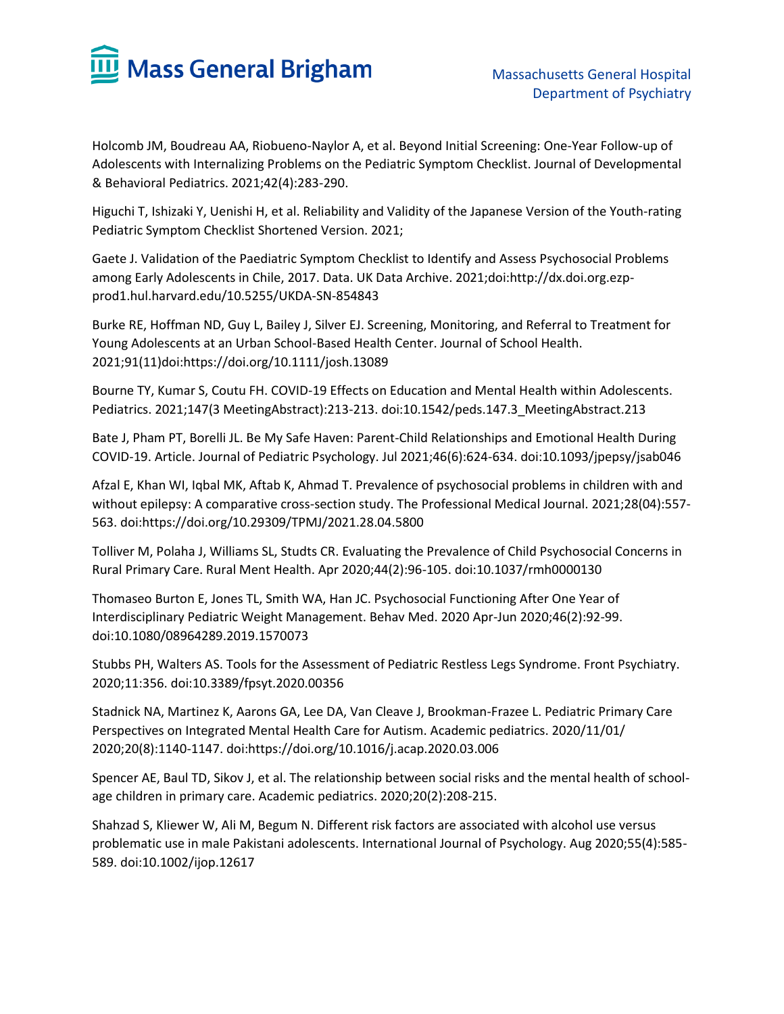

Holcomb JM, Boudreau AA, Riobueno-Naylor A, et al. Beyond Initial Screening: One-Year Follow-up of Adolescents with Internalizing Problems on the Pediatric Symptom Checklist. Journal of Developmental & Behavioral Pediatrics. 2021;42(4):283-290.

Higuchi T, Ishizaki Y, Uenishi H, et al. Reliability and Validity of the Japanese Version of the Youth-rating Pediatric Symptom Checklist Shortened Version. 2021;

Gaete J. Validation of the Paediatric Symptom Checklist to Identify and Assess Psychosocial Problems among Early Adolescents in Chile, 2017. Data. UK Data Archive. 2021;doi:http://dx.doi.org.ezpprod1.hul.harvard.edu/10.5255/UKDA-SN-854843

Burke RE, Hoffman ND, Guy L, Bailey J, Silver EJ. Screening, Monitoring, and Referral to Treatment for Young Adolescents at an Urban School-Based Health Center. Journal of School Health. 2021;91(11)doi:https://doi.org/10.1111/josh.13089

Bourne TY, Kumar S, Coutu FH. COVID-19 Effects on Education and Mental Health within Adolescents. Pediatrics. 2021;147(3 MeetingAbstract):213-213. doi:10.1542/peds.147.3\_MeetingAbstract.213

Bate J, Pham PT, Borelli JL. Be My Safe Haven: Parent-Child Relationships and Emotional Health During COVID-19. Article. Journal of Pediatric Psychology. Jul 2021;46(6):624-634. doi:10.1093/jpepsy/jsab046

Afzal E, Khan WI, Iqbal MK, Aftab K, Ahmad T. Prevalence of psychosocial problems in children with and without epilepsy: A comparative cross-section study. The Professional Medical Journal. 2021;28(04):557- 563. doi:https://doi.org/10.29309/TPMJ/2021.28.04.5800

Tolliver M, Polaha J, Williams SL, Studts CR. Evaluating the Prevalence of Child Psychosocial Concerns in Rural Primary Care. Rural Ment Health. Apr 2020;44(2):96-105. doi:10.1037/rmh0000130

Thomaseo Burton E, Jones TL, Smith WA, Han JC. Psychosocial Functioning After One Year of Interdisciplinary Pediatric Weight Management. Behav Med. 2020 Apr-Jun 2020;46(2):92-99. doi:10.1080/08964289.2019.1570073

Stubbs PH, Walters AS. Tools for the Assessment of Pediatric Restless Legs Syndrome. Front Psychiatry. 2020;11:356. doi:10.3389/fpsyt.2020.00356

Stadnick NA, Martinez K, Aarons GA, Lee DA, Van Cleave J, Brookman-Frazee L. Pediatric Primary Care Perspectives on Integrated Mental Health Care for Autism. Academic pediatrics. 2020/11/01/ 2020;20(8):1140-1147. doi:https://doi.org/10.1016/j.acap.2020.03.006

Spencer AE, Baul TD, Sikov J, et al. The relationship between social risks and the mental health of schoolage children in primary care. Academic pediatrics. 2020;20(2):208-215.

Shahzad S, Kliewer W, Ali M, Begum N. Different risk factors are associated with alcohol use versus problematic use in male Pakistani adolescents. International Journal of Psychology. Aug 2020;55(4):585- 589. doi:10.1002/ijop.12617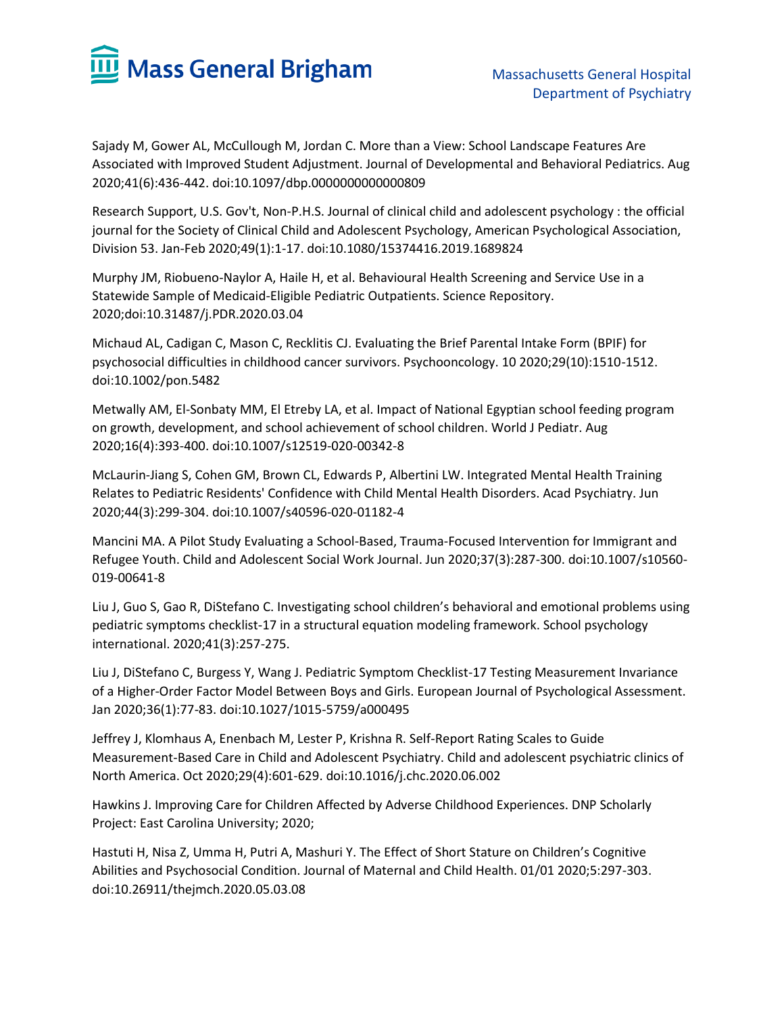

Sajady M, Gower AL, McCullough M, Jordan C. More than a View: School Landscape Features Are Associated with Improved Student Adjustment. Journal of Developmental and Behavioral Pediatrics. Aug 2020;41(6):436-442. doi:10.1097/dbp.0000000000000809

Research Support, U.S. Gov't, Non-P.H.S. Journal of clinical child and adolescent psychology : the official journal for the Society of Clinical Child and Adolescent Psychology, American Psychological Association, Division 53. Jan-Feb 2020;49(1):1-17. doi:10.1080/15374416.2019.1689824

Murphy JM, Riobueno-Naylor A, Haile H, et al. Behavioural Health Screening and Service Use in a Statewide Sample of Medicaid-Eligible Pediatric Outpatients. Science Repository. 2020;doi:10.31487/j.PDR.2020.03.04

Michaud AL, Cadigan C, Mason C, Recklitis CJ. Evaluating the Brief Parental Intake Form (BPIF) for psychosocial difficulties in childhood cancer survivors. Psychooncology. 10 2020;29(10):1510-1512. doi:10.1002/pon.5482

Metwally AM, El-Sonbaty MM, El Etreby LA, et al. Impact of National Egyptian school feeding program on growth, development, and school achievement of school children. World J Pediatr. Aug 2020;16(4):393-400. doi:10.1007/s12519-020-00342-8

McLaurin-Jiang S, Cohen GM, Brown CL, Edwards P, Albertini LW. Integrated Mental Health Training Relates to Pediatric Residents' Confidence with Child Mental Health Disorders. Acad Psychiatry. Jun 2020;44(3):299-304. doi:10.1007/s40596-020-01182-4

Mancini MA. A Pilot Study Evaluating a School-Based, Trauma-Focused Intervention for Immigrant and Refugee Youth. Child and Adolescent Social Work Journal. Jun 2020;37(3):287-300. doi:10.1007/s10560- 019-00641-8

Liu J, Guo S, Gao R, DiStefano C. Investigating school children's behavioral and emotional problems using pediatric symptoms checklist-17 in a structural equation modeling framework. School psychology international. 2020;41(3):257-275.

Liu J, DiStefano C, Burgess Y, Wang J. Pediatric Symptom Checklist-17 Testing Measurement Invariance of a Higher-Order Factor Model Between Boys and Girls. European Journal of Psychological Assessment. Jan 2020;36(1):77-83. doi:10.1027/1015-5759/a000495

Jeffrey J, Klomhaus A, Enenbach M, Lester P, Krishna R. Self-Report Rating Scales to Guide Measurement-Based Care in Child and Adolescent Psychiatry. Child and adolescent psychiatric clinics of North America. Oct 2020;29(4):601-629. doi:10.1016/j.chc.2020.06.002

Hawkins J. Improving Care for Children Affected by Adverse Childhood Experiences. DNP Scholarly Project: East Carolina University; 2020;

Hastuti H, Nisa Z, Umma H, Putri A, Mashuri Y. The Effect of Short Stature on Children's Cognitive Abilities and Psychosocial Condition. Journal of Maternal and Child Health. 01/01 2020;5:297-303. doi:10.26911/thejmch.2020.05.03.08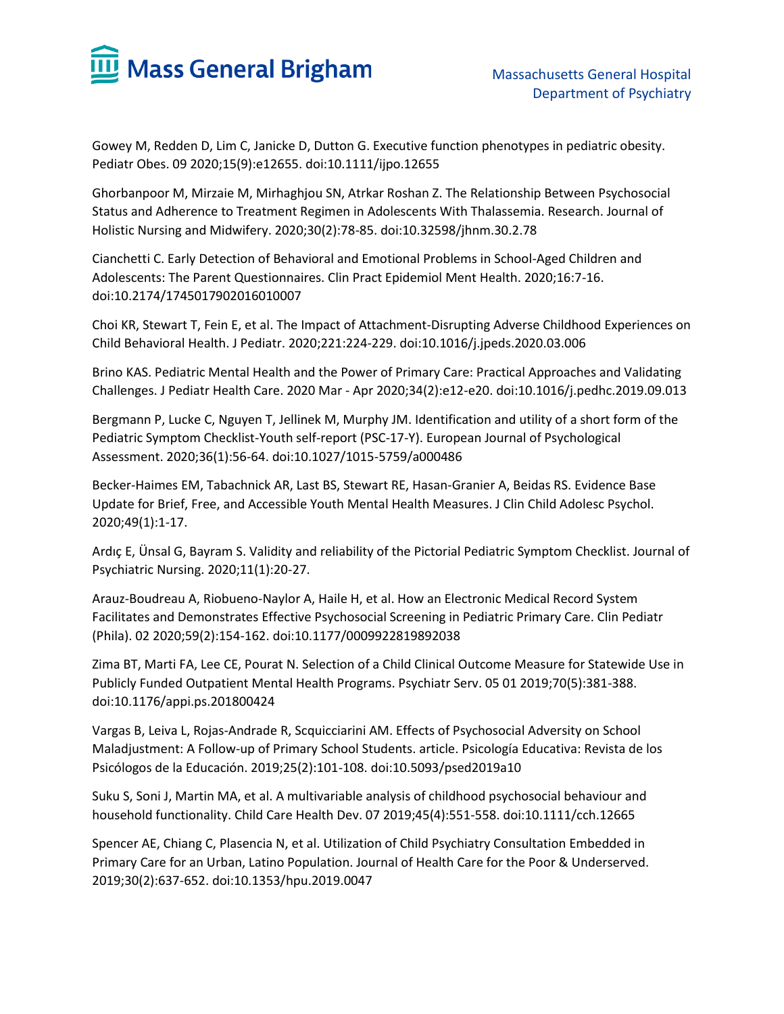

Gowey M, Redden D, Lim C, Janicke D, Dutton G. Executive function phenotypes in pediatric obesity. Pediatr Obes. 09 2020;15(9):e12655. doi:10.1111/ijpo.12655

Ghorbanpoor M, Mirzaie M, Mirhaghjou SN, Atrkar Roshan Z. The Relationship Between Psychosocial Status and Adherence to Treatment Regimen in Adolescents With Thalassemia. Research. Journal of Holistic Nursing and Midwifery. 2020;30(2):78-85. doi:10.32598/jhnm.30.2.78

Cianchetti C. Early Detection of Behavioral and Emotional Problems in School-Aged Children and Adolescents: The Parent Questionnaires. Clin Pract Epidemiol Ment Health. 2020;16:7-16. doi:10.2174/1745017902016010007

Choi KR, Stewart T, Fein E, et al. The Impact of Attachment-Disrupting Adverse Childhood Experiences on Child Behavioral Health. J Pediatr. 2020;221:224-229. doi:10.1016/j.jpeds.2020.03.006

Brino KAS. Pediatric Mental Health and the Power of Primary Care: Practical Approaches and Validating Challenges. J Pediatr Health Care. 2020 Mar - Apr 2020;34(2):e12-e20. doi:10.1016/j.pedhc.2019.09.013

Bergmann P, Lucke C, Nguyen T, Jellinek M, Murphy JM. Identification and utility of a short form of the Pediatric Symptom Checklist-Youth self-report (PSC-17-Y). European Journal of Psychological Assessment. 2020;36(1):56-64. doi:10.1027/1015-5759/a000486

Becker-Haimes EM, Tabachnick AR, Last BS, Stewart RE, Hasan-Granier A, Beidas RS. Evidence Base Update for Brief, Free, and Accessible Youth Mental Health Measures. J Clin Child Adolesc Psychol. 2020;49(1):1-17.

Ardıç E, Ünsal G, Bayram S. Validity and reliability of the Pictorial Pediatric Symptom Checklist. Journal of Psychiatric Nursing. 2020;11(1):20-27.

Arauz-Boudreau A, Riobueno-Naylor A, Haile H, et al. How an Electronic Medical Record System Facilitates and Demonstrates Effective Psychosocial Screening in Pediatric Primary Care. Clin Pediatr (Phila). 02 2020;59(2):154-162. doi:10.1177/0009922819892038

Zima BT, Marti FA, Lee CE, Pourat N. Selection of a Child Clinical Outcome Measure for Statewide Use in Publicly Funded Outpatient Mental Health Programs. Psychiatr Serv. 05 01 2019;70(5):381-388. doi:10.1176/appi.ps.201800424

Vargas B, Leiva L, Rojas-Andrade R, Scquicciarini AM. Effects of Psychosocial Adversity on School Maladjustment: A Follow-up of Primary School Students. article. Psicología Educativa: Revista de los Psicólogos de la Educación. 2019;25(2):101-108. doi:10.5093/psed2019a10

Suku S, Soni J, Martin MA, et al. A multivariable analysis of childhood psychosocial behaviour and household functionality. Child Care Health Dev. 07 2019;45(4):551-558. doi:10.1111/cch.12665

Spencer AE, Chiang C, Plasencia N, et al. Utilization of Child Psychiatry Consultation Embedded in Primary Care for an Urban, Latino Population. Journal of Health Care for the Poor & Underserved. 2019;30(2):637-652. doi:10.1353/hpu.2019.0047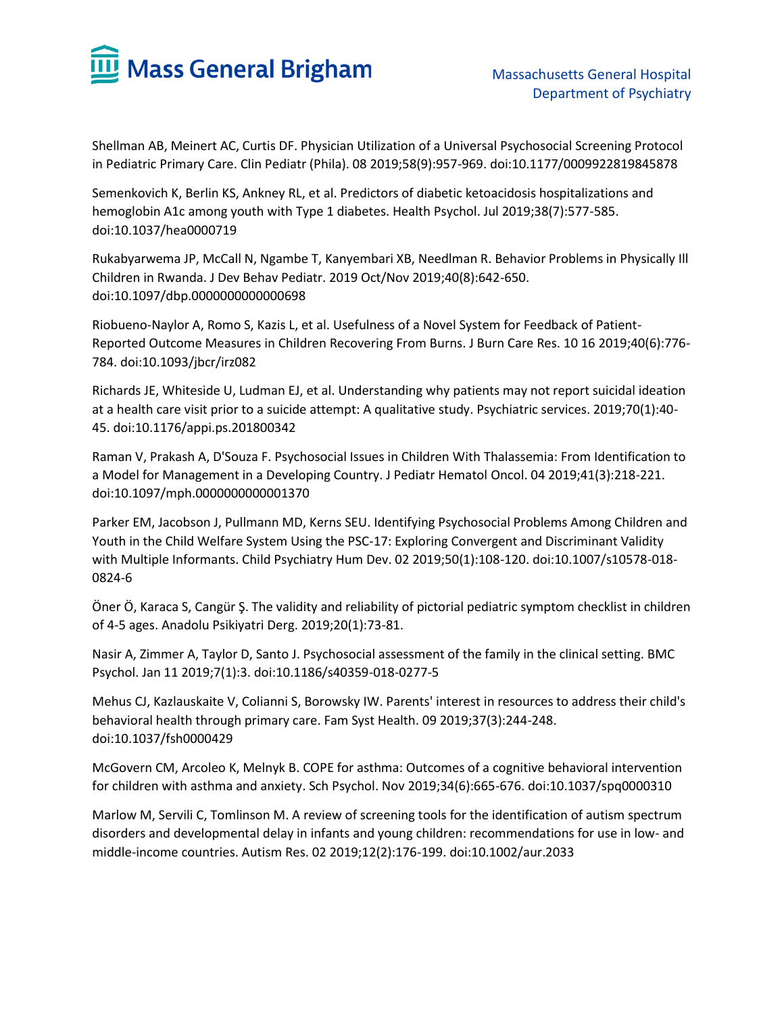

Shellman AB, Meinert AC, Curtis DF. Physician Utilization of a Universal Psychosocial Screening Protocol in Pediatric Primary Care. Clin Pediatr (Phila). 08 2019;58(9):957-969. doi:10.1177/0009922819845878

Semenkovich K, Berlin KS, Ankney RL, et al. Predictors of diabetic ketoacidosis hospitalizations and hemoglobin A1c among youth with Type 1 diabetes. Health Psychol. Jul 2019;38(7):577-585. doi:10.1037/hea0000719

Rukabyarwema JP, McCall N, Ngambe T, Kanyembari XB, Needlman R. Behavior Problems in Physically Ill Children in Rwanda. J Dev Behav Pediatr. 2019 Oct/Nov 2019;40(8):642-650. doi:10.1097/dbp.0000000000000698

Riobueno-Naylor A, Romo S, Kazis L, et al. Usefulness of a Novel System for Feedback of Patient-Reported Outcome Measures in Children Recovering From Burns. J Burn Care Res. 10 16 2019;40(6):776- 784. doi:10.1093/jbcr/irz082

Richards JE, Whiteside U, Ludman EJ, et al. Understanding why patients may not report suicidal ideation at a health care visit prior to a suicide attempt: A qualitative study. Psychiatric services. 2019;70(1):40- 45. doi:10.1176/appi.ps.201800342

Raman V, Prakash A, D'Souza F. Psychosocial Issues in Children With Thalassemia: From Identification to a Model for Management in a Developing Country. J Pediatr Hematol Oncol. 04 2019;41(3):218-221. doi:10.1097/mph.0000000000001370

Parker EM, Jacobson J, Pullmann MD, Kerns SEU. Identifying Psychosocial Problems Among Children and Youth in the Child Welfare System Using the PSC-17: Exploring Convergent and Discriminant Validity with Multiple Informants. Child Psychiatry Hum Dev. 02 2019;50(1):108-120. doi:10.1007/s10578-018- 0824-6

Öner Ö, Karaca S, Cangür Ş. The validity and reliability of pictorial pediatric symptom checklist in children of 4-5 ages. Anadolu Psikiyatri Derg. 2019;20(1):73-81.

Nasir A, Zimmer A, Taylor D, Santo J. Psychosocial assessment of the family in the clinical setting. BMC Psychol. Jan 11 2019;7(1):3. doi:10.1186/s40359-018-0277-5

Mehus CJ, Kazlauskaite V, Colianni S, Borowsky IW. Parents' interest in resources to address their child's behavioral health through primary care. Fam Syst Health. 09 2019;37(3):244-248. doi:10.1037/fsh0000429

McGovern CM, Arcoleo K, Melnyk B. COPE for asthma: Outcomes of a cognitive behavioral intervention for children with asthma and anxiety. Sch Psychol. Nov 2019;34(6):665-676. doi:10.1037/spq0000310

Marlow M, Servili C, Tomlinson M. A review of screening tools for the identification of autism spectrum disorders and developmental delay in infants and young children: recommendations for use in low- and middle-income countries. Autism Res. 02 2019;12(2):176-199. doi:10.1002/aur.2033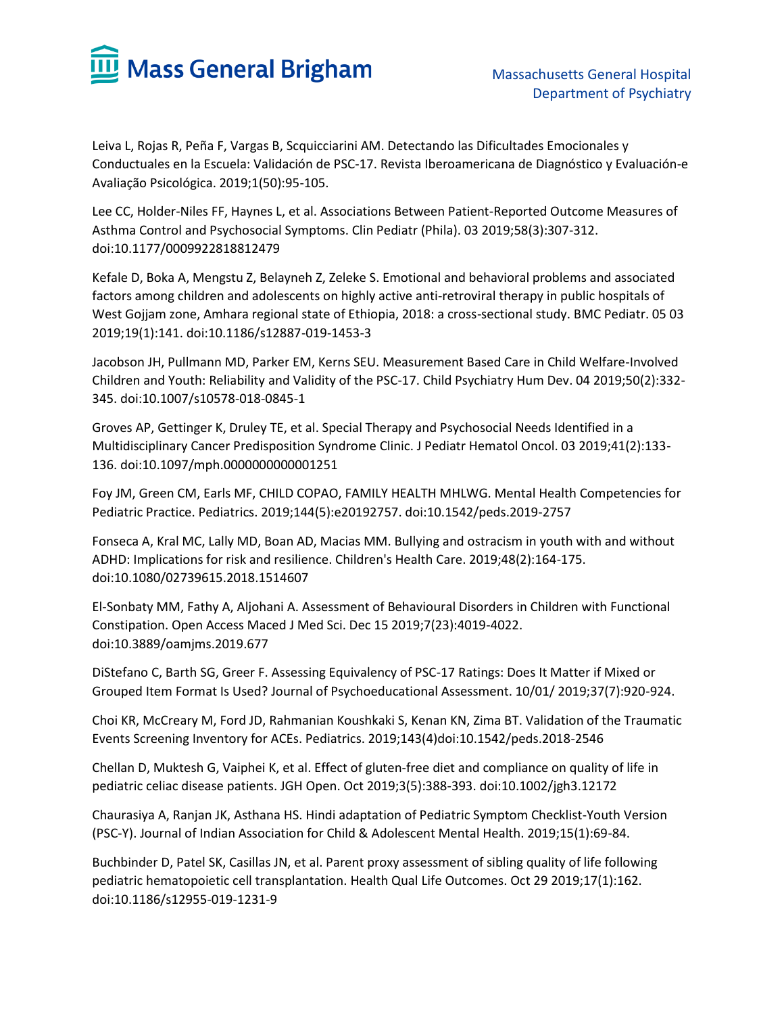

Leiva L, Rojas R, Peña F, Vargas B, Scquicciarini AM. Detectando las Dificultades Emocionales y Conductuales en la Escuela: Validación de PSC-17. Revista Iberoamericana de Diagnóstico y Evaluación-e Avaliação Psicológica. 2019;1(50):95-105.

Lee CC, Holder-Niles FF, Haynes L, et al. Associations Between Patient-Reported Outcome Measures of Asthma Control and Psychosocial Symptoms. Clin Pediatr (Phila). 03 2019;58(3):307-312. doi:10.1177/0009922818812479

Kefale D, Boka A, Mengstu Z, Belayneh Z, Zeleke S. Emotional and behavioral problems and associated factors among children and adolescents on highly active anti-retroviral therapy in public hospitals of West Gojjam zone, Amhara regional state of Ethiopia, 2018: a cross-sectional study. BMC Pediatr. 05 03 2019;19(1):141. doi:10.1186/s12887-019-1453-3

Jacobson JH, Pullmann MD, Parker EM, Kerns SEU. Measurement Based Care in Child Welfare-Involved Children and Youth: Reliability and Validity of the PSC-17. Child Psychiatry Hum Dev. 04 2019;50(2):332- 345. doi:10.1007/s10578-018-0845-1

Groves AP, Gettinger K, Druley TE, et al. Special Therapy and Psychosocial Needs Identified in a Multidisciplinary Cancer Predisposition Syndrome Clinic. J Pediatr Hematol Oncol. 03 2019;41(2):133- 136. doi:10.1097/mph.0000000000001251

Foy JM, Green CM, Earls MF, CHILD COPAO, FAMILY HEALTH MHLWG. Mental Health Competencies for Pediatric Practice. Pediatrics. 2019;144(5):e20192757. doi:10.1542/peds.2019-2757

Fonseca A, Kral MC, Lally MD, Boan AD, Macias MM. Bullying and ostracism in youth with and without ADHD: Implications for risk and resilience. Children's Health Care. 2019;48(2):164-175. doi:10.1080/02739615.2018.1514607

El-Sonbaty MM, Fathy A, Aljohani A. Assessment of Behavioural Disorders in Children with Functional Constipation. Open Access Maced J Med Sci. Dec 15 2019;7(23):4019-4022. doi:10.3889/oamjms.2019.677

DiStefano C, Barth SG, Greer F. Assessing Equivalency of PSC-17 Ratings: Does It Matter if Mixed or Grouped Item Format Is Used? Journal of Psychoeducational Assessment. 10/01/ 2019;37(7):920-924.

Choi KR, McCreary M, Ford JD, Rahmanian Koushkaki S, Kenan KN, Zima BT. Validation of the Traumatic Events Screening Inventory for ACEs. Pediatrics. 2019;143(4)doi:10.1542/peds.2018-2546

Chellan D, Muktesh G, Vaiphei K, et al. Effect of gluten-free diet and compliance on quality of life in pediatric celiac disease patients. JGH Open. Oct 2019;3(5):388-393. doi:10.1002/jgh3.12172

Chaurasiya A, Ranjan JK, Asthana HS. Hindi adaptation of Pediatric Symptom Checklist-Youth Version (PSC-Y). Journal of Indian Association for Child & Adolescent Mental Health. 2019;15(1):69-84.

Buchbinder D, Patel SK, Casillas JN, et al. Parent proxy assessment of sibling quality of life following pediatric hematopoietic cell transplantation. Health Qual Life Outcomes. Oct 29 2019;17(1):162. doi:10.1186/s12955-019-1231-9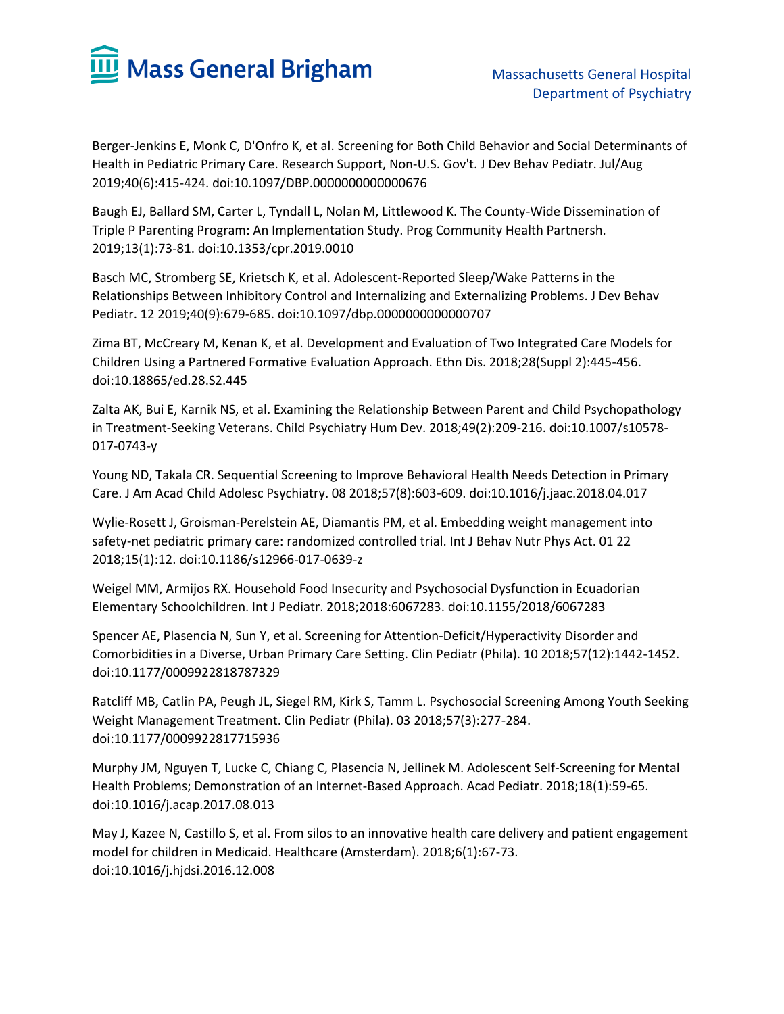

Berger-Jenkins E, Monk C, D'Onfro K, et al. Screening for Both Child Behavior and Social Determinants of Health in Pediatric Primary Care. Research Support, Non-U.S. Gov't. J Dev Behav Pediatr. Jul/Aug 2019;40(6):415-424. doi:10.1097/DBP.0000000000000676

Baugh EJ, Ballard SM, Carter L, Tyndall L, Nolan M, Littlewood K. The County-Wide Dissemination of Triple P Parenting Program: An Implementation Study. Prog Community Health Partnersh. 2019;13(1):73-81. doi:10.1353/cpr.2019.0010

Basch MC, Stromberg SE, Krietsch K, et al. Adolescent-Reported Sleep/Wake Patterns in the Relationships Between Inhibitory Control and Internalizing and Externalizing Problems. J Dev Behav Pediatr. 12 2019;40(9):679-685. doi:10.1097/dbp.0000000000000707

Zima BT, McCreary M, Kenan K, et al. Development and Evaluation of Two Integrated Care Models for Children Using a Partnered Formative Evaluation Approach. Ethn Dis. 2018;28(Suppl 2):445-456. doi:10.18865/ed.28.S2.445

Zalta AK, Bui E, Karnik NS, et al. Examining the Relationship Between Parent and Child Psychopathology in Treatment-Seeking Veterans. Child Psychiatry Hum Dev. 2018;49(2):209-216. doi:10.1007/s10578- 017-0743-y

Young ND, Takala CR. Sequential Screening to Improve Behavioral Health Needs Detection in Primary Care. J Am Acad Child Adolesc Psychiatry. 08 2018;57(8):603-609. doi:10.1016/j.jaac.2018.04.017

Wylie-Rosett J, Groisman-Perelstein AE, Diamantis PM, et al. Embedding weight management into safety-net pediatric primary care: randomized controlled trial. Int J Behav Nutr Phys Act. 01 22 2018;15(1):12. doi:10.1186/s12966-017-0639-z

Weigel MM, Armijos RX. Household Food Insecurity and Psychosocial Dysfunction in Ecuadorian Elementary Schoolchildren. Int J Pediatr. 2018;2018:6067283. doi:10.1155/2018/6067283

Spencer AE, Plasencia N, Sun Y, et al. Screening for Attention-Deficit/Hyperactivity Disorder and Comorbidities in a Diverse, Urban Primary Care Setting. Clin Pediatr (Phila). 10 2018;57(12):1442-1452. doi:10.1177/0009922818787329

Ratcliff MB, Catlin PA, Peugh JL, Siegel RM, Kirk S, Tamm L. Psychosocial Screening Among Youth Seeking Weight Management Treatment. Clin Pediatr (Phila). 03 2018;57(3):277-284. doi:10.1177/0009922817715936

Murphy JM, Nguyen T, Lucke C, Chiang C, Plasencia N, Jellinek M. Adolescent Self-Screening for Mental Health Problems; Demonstration of an Internet-Based Approach. Acad Pediatr. 2018;18(1):59-65. doi:10.1016/j.acap.2017.08.013

May J, Kazee N, Castillo S, et al. From silos to an innovative health care delivery and patient engagement model for children in Medicaid. Healthcare (Amsterdam). 2018;6(1):67-73. doi:10.1016/j.hjdsi.2016.12.008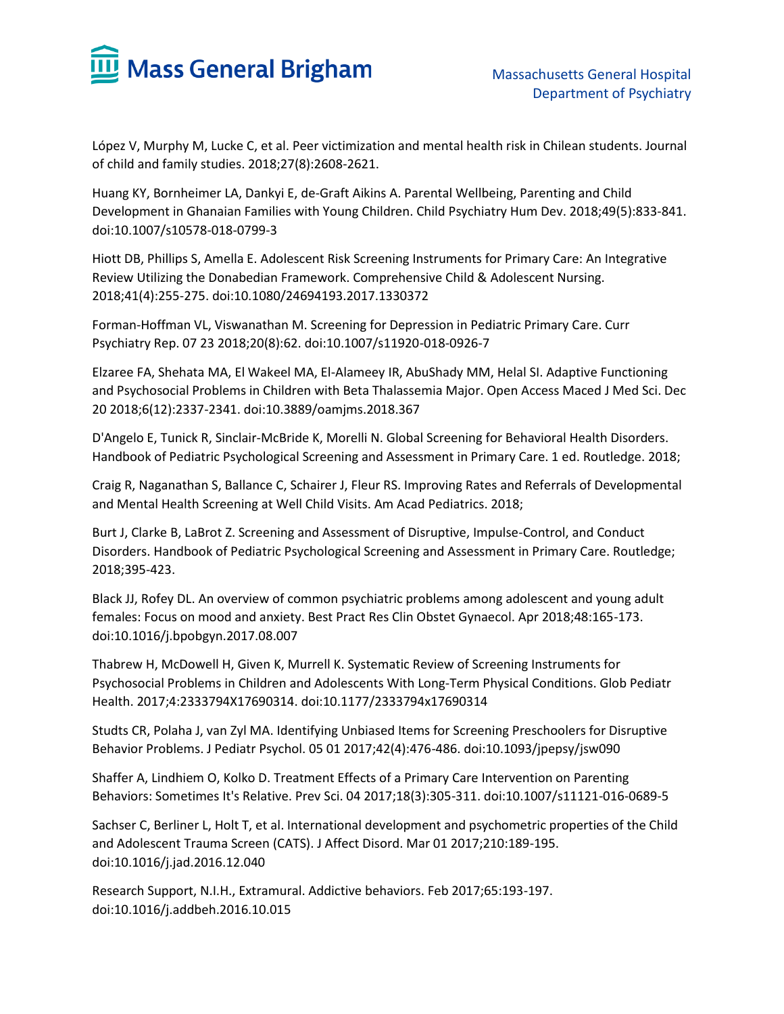

López V, Murphy M, Lucke C, et al. Peer victimization and mental health risk in Chilean students. Journal of child and family studies. 2018;27(8):2608-2621.

Huang KY, Bornheimer LA, Dankyi E, de-Graft Aikins A. Parental Wellbeing, Parenting and Child Development in Ghanaian Families with Young Children. Child Psychiatry Hum Dev. 2018;49(5):833-841. doi:10.1007/s10578-018-0799-3

Hiott DB, Phillips S, Amella E. Adolescent Risk Screening Instruments for Primary Care: An Integrative Review Utilizing the Donabedian Framework. Comprehensive Child & Adolescent Nursing. 2018;41(4):255-275. doi:10.1080/24694193.2017.1330372

Forman-Hoffman VL, Viswanathan M. Screening for Depression in Pediatric Primary Care. Curr Psychiatry Rep. 07 23 2018;20(8):62. doi:10.1007/s11920-018-0926-7

Elzaree FA, Shehata MA, El Wakeel MA, El-Alameey IR, AbuShady MM, Helal SI. Adaptive Functioning and Psychosocial Problems in Children with Beta Thalassemia Major. Open Access Maced J Med Sci. Dec 20 2018;6(12):2337-2341. doi:10.3889/oamjms.2018.367

D'Angelo E, Tunick R, Sinclair-McBride K, Morelli N. Global Screening for Behavioral Health Disorders. Handbook of Pediatric Psychological Screening and Assessment in Primary Care. 1 ed. Routledge. 2018;

Craig R, Naganathan S, Ballance C, Schairer J, Fleur RS. Improving Rates and Referrals of Developmental and Mental Health Screening at Well Child Visits. Am Acad Pediatrics. 2018;

Burt J, Clarke B, LaBrot Z. Screening and Assessment of Disruptive, Impulse-Control, and Conduct Disorders. Handbook of Pediatric Psychological Screening and Assessment in Primary Care. Routledge; 2018;395-423.

Black JJ, Rofey DL. An overview of common psychiatric problems among adolescent and young adult females: Focus on mood and anxiety. Best Pract Res Clin Obstet Gynaecol. Apr 2018;48:165-173. doi:10.1016/j.bpobgyn.2017.08.007

Thabrew H, McDowell H, Given K, Murrell K. Systematic Review of Screening Instruments for Psychosocial Problems in Children and Adolescents With Long-Term Physical Conditions. Glob Pediatr Health. 2017;4:2333794X17690314. doi:10.1177/2333794x17690314

Studts CR, Polaha J, van Zyl MA. Identifying Unbiased Items for Screening Preschoolers for Disruptive Behavior Problems. J Pediatr Psychol. 05 01 2017;42(4):476-486. doi:10.1093/jpepsy/jsw090

Shaffer A, Lindhiem O, Kolko D. Treatment Effects of a Primary Care Intervention on Parenting Behaviors: Sometimes It's Relative. Prev Sci. 04 2017;18(3):305-311. doi:10.1007/s11121-016-0689-5

Sachser C, Berliner L, Holt T, et al. International development and psychometric properties of the Child and Adolescent Trauma Screen (CATS). J Affect Disord. Mar 01 2017;210:189-195. doi:10.1016/j.jad.2016.12.040

Research Support, N.I.H., Extramural. Addictive behaviors. Feb 2017;65:193-197. doi:10.1016/j.addbeh.2016.10.015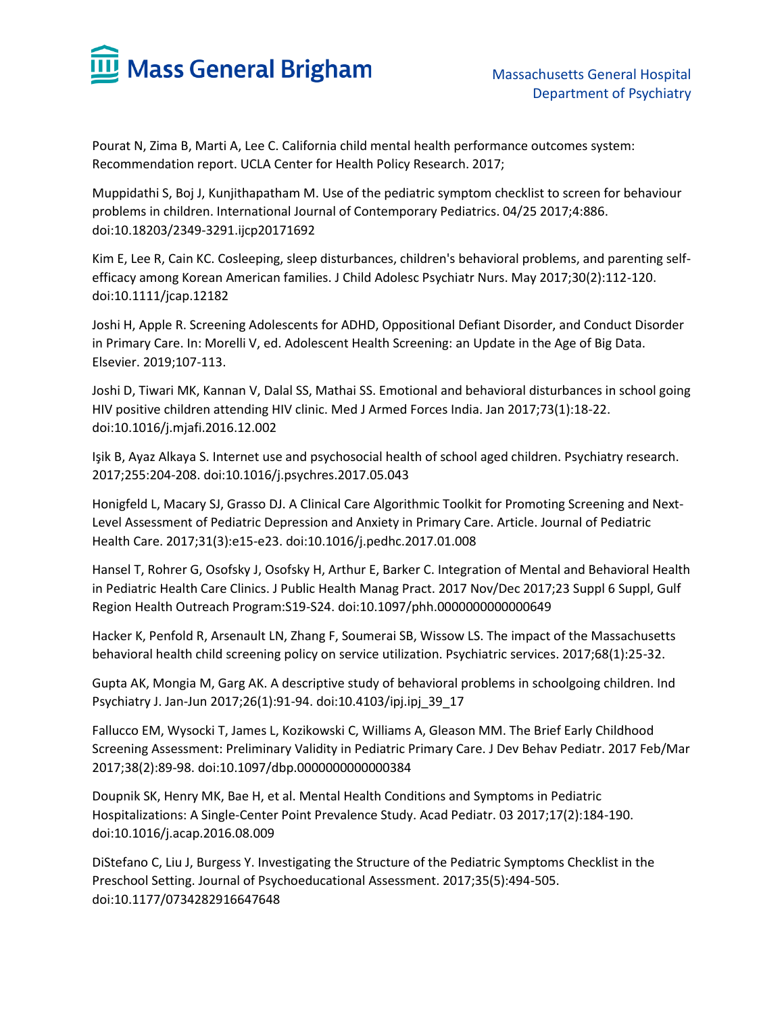

Pourat N, Zima B, Marti A, Lee C. California child mental health performance outcomes system: Recommendation report. UCLA Center for Health Policy Research. 2017;

Muppidathi S, Boj J, Kunjithapatham M. Use of the pediatric symptom checklist to screen for behaviour problems in children. International Journal of Contemporary Pediatrics. 04/25 2017;4:886. doi:10.18203/2349-3291.ijcp20171692

Kim E, Lee R, Cain KC. Cosleeping, sleep disturbances, children's behavioral problems, and parenting selfefficacy among Korean American families. J Child Adolesc Psychiatr Nurs. May 2017;30(2):112-120. doi:10.1111/jcap.12182

Joshi H, Apple R. Screening Adolescents for ADHD, Oppositional Defiant Disorder, and Conduct Disorder in Primary Care. In: Morelli V, ed. Adolescent Health Screening: an Update in the Age of Big Data. Elsevier. 2019;107-113.

Joshi D, Tiwari MK, Kannan V, Dalal SS, Mathai SS. Emotional and behavioral disturbances in school going HIV positive children attending HIV clinic. Med J Armed Forces India. Jan 2017;73(1):18-22. doi:10.1016/j.mjafi.2016.12.002

Işik B, Ayaz Alkaya S. Internet use and psychosocial health of school aged children. Psychiatry research. 2017;255:204-208. doi:10.1016/j.psychres.2017.05.043

Honigfeld L, Macary SJ, Grasso DJ. A Clinical Care Algorithmic Toolkit for Promoting Screening and Next-Level Assessment of Pediatric Depression and Anxiety in Primary Care. Article. Journal of Pediatric Health Care. 2017;31(3):e15-e23. doi:10.1016/j.pedhc.2017.01.008

Hansel T, Rohrer G, Osofsky J, Osofsky H, Arthur E, Barker C. Integration of Mental and Behavioral Health in Pediatric Health Care Clinics. J Public Health Manag Pract. 2017 Nov/Dec 2017;23 Suppl 6 Suppl, Gulf Region Health Outreach Program:S19-S24. doi:10.1097/phh.0000000000000649

Hacker K, Penfold R, Arsenault LN, Zhang F, Soumerai SB, Wissow LS. The impact of the Massachusetts behavioral health child screening policy on service utilization. Psychiatric services. 2017;68(1):25-32.

Gupta AK, Mongia M, Garg AK. A descriptive study of behavioral problems in schoolgoing children. Ind Psychiatry J. Jan-Jun 2017;26(1):91-94. doi:10.4103/ipj.ipj\_39\_17

Fallucco EM, Wysocki T, James L, Kozikowski C, Williams A, Gleason MM. The Brief Early Childhood Screening Assessment: Preliminary Validity in Pediatric Primary Care. J Dev Behav Pediatr. 2017 Feb/Mar 2017;38(2):89-98. doi:10.1097/dbp.0000000000000384

Doupnik SK, Henry MK, Bae H, et al. Mental Health Conditions and Symptoms in Pediatric Hospitalizations: A Single-Center Point Prevalence Study. Acad Pediatr. 03 2017;17(2):184-190. doi:10.1016/j.acap.2016.08.009

DiStefano C, Liu J, Burgess Y. Investigating the Structure of the Pediatric Symptoms Checklist in the Preschool Setting. Journal of Psychoeducational Assessment. 2017;35(5):494-505. doi:10.1177/0734282916647648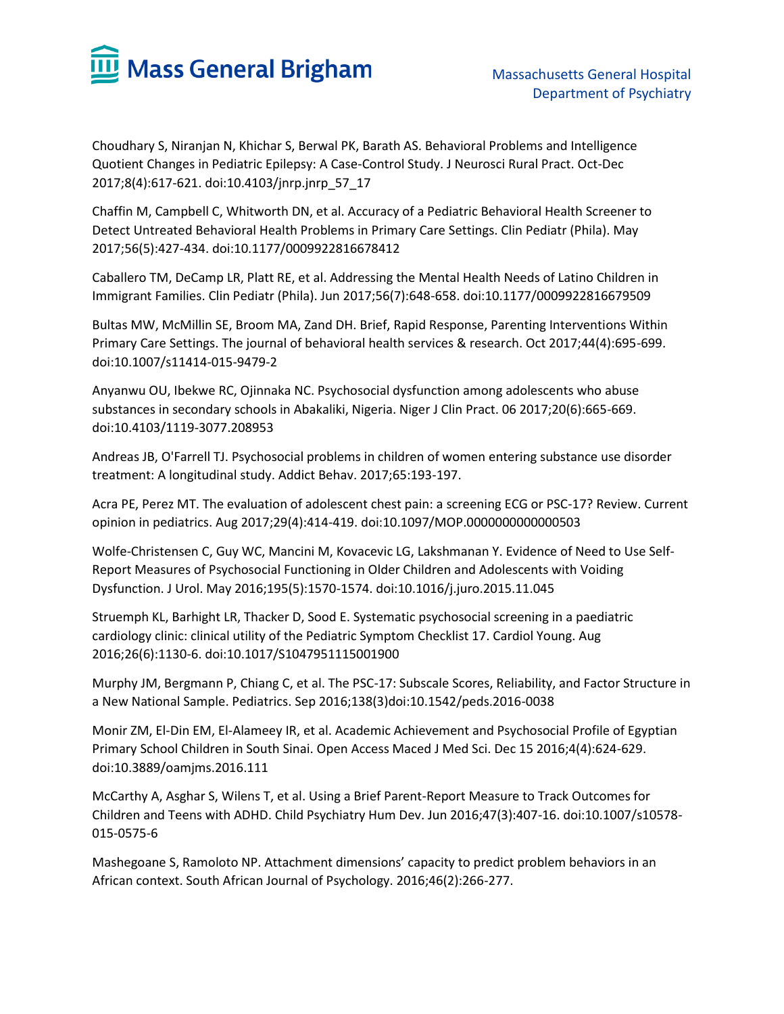

Choudhary S, Niranjan N, Khichar S, Berwal PK, Barath AS. Behavioral Problems and Intelligence Quotient Changes in Pediatric Epilepsy: A Case-Control Study. J Neurosci Rural Pract. Oct-Dec 2017;8(4):617-621. doi:10.4103/jnrp.jnrp\_57\_17

Chaffin M, Campbell C, Whitworth DN, et al. Accuracy of a Pediatric Behavioral Health Screener to Detect Untreated Behavioral Health Problems in Primary Care Settings. Clin Pediatr (Phila). May 2017;56(5):427-434. doi:10.1177/0009922816678412

Caballero TM, DeCamp LR, Platt RE, et al. Addressing the Mental Health Needs of Latino Children in Immigrant Families. Clin Pediatr (Phila). Jun 2017;56(7):648-658. doi:10.1177/0009922816679509

Bultas MW, McMillin SE, Broom MA, Zand DH. Brief, Rapid Response, Parenting Interventions Within Primary Care Settings. The journal of behavioral health services & research. Oct 2017;44(4):695-699. doi:10.1007/s11414-015-9479-2

Anyanwu OU, Ibekwe RC, Ojinnaka NC. Psychosocial dysfunction among adolescents who abuse substances in secondary schools in Abakaliki, Nigeria. Niger J Clin Pract. 06 2017;20(6):665-669. doi:10.4103/1119-3077.208953

Andreas JB, O'Farrell TJ. Psychosocial problems in children of women entering substance use disorder treatment: A longitudinal study. Addict Behav. 2017;65:193-197.

Acra PE, Perez MT. The evaluation of adolescent chest pain: a screening ECG or PSC-17? Review. Current opinion in pediatrics. Aug 2017;29(4):414-419. doi:10.1097/MOP.0000000000000503

Wolfe-Christensen C, Guy WC, Mancini M, Kovacevic LG, Lakshmanan Y. Evidence of Need to Use Self-Report Measures of Psychosocial Functioning in Older Children and Adolescents with Voiding Dysfunction. J Urol. May 2016;195(5):1570-1574. doi:10.1016/j.juro.2015.11.045

Struemph KL, Barhight LR, Thacker D, Sood E. Systematic psychosocial screening in a paediatric cardiology clinic: clinical utility of the Pediatric Symptom Checklist 17. Cardiol Young. Aug 2016;26(6):1130-6. doi:10.1017/S1047951115001900

Murphy JM, Bergmann P, Chiang C, et al. The PSC-17: Subscale Scores, Reliability, and Factor Structure in a New National Sample. Pediatrics. Sep 2016;138(3)doi:10.1542/peds.2016-0038

Monir ZM, El-Din EM, El-Alameey IR, et al. Academic Achievement and Psychosocial Profile of Egyptian Primary School Children in South Sinai. Open Access Maced J Med Sci. Dec 15 2016;4(4):624-629. doi:10.3889/oamjms.2016.111

McCarthy A, Asghar S, Wilens T, et al. Using a Brief Parent-Report Measure to Track Outcomes for Children and Teens with ADHD. Child Psychiatry Hum Dev. Jun 2016;47(3):407-16. doi:10.1007/s10578- 015-0575-6

Mashegoane S, Ramoloto NP. Attachment dimensions' capacity to predict problem behaviors in an African context. South African Journal of Psychology. 2016;46(2):266-277.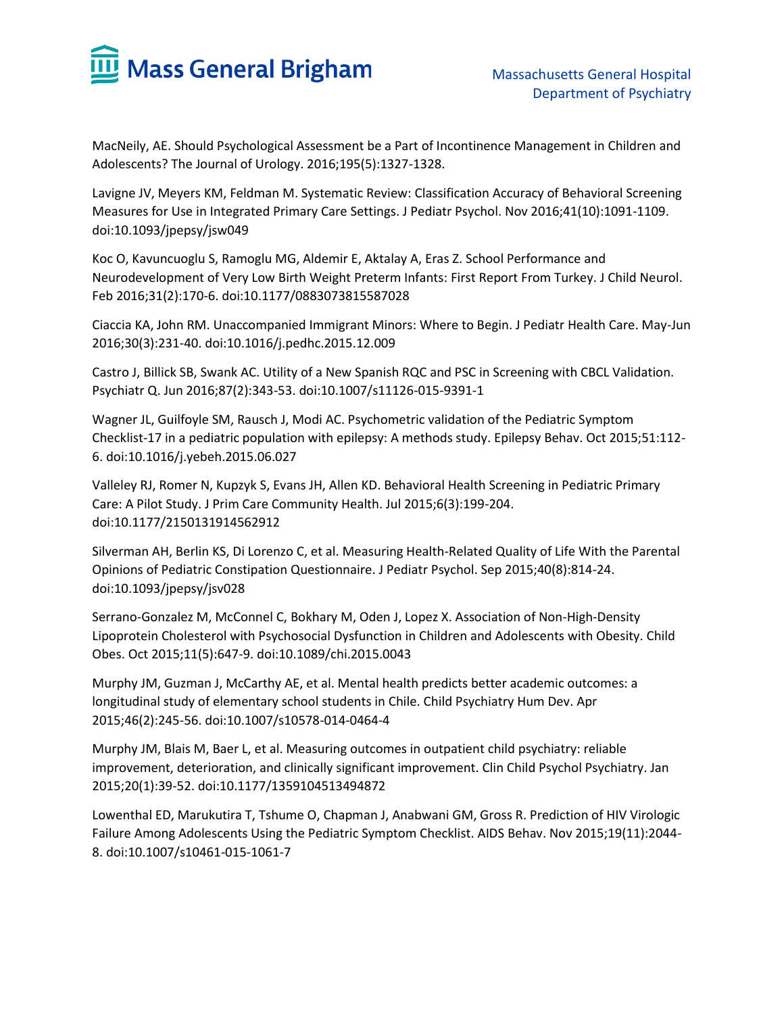

MacNeily, AE. Should Psychological Assessment be a Part of Incontinence Management in Children and Adolescents? The Journal of Urology. 2016;195(5):1327-1328.

Lavigne JV, Meyers KM, Feldman M. Systematic Review: Classification Accuracy of Behavioral Screening Measures for Use in Integrated Primary Care Settings. J Pediatr Psychol. Nov 2016;41(10):1091-1109. doi:10.1093/jpepsy/jsw049

Koc O, Kavuncuoglu S, Ramoglu MG, Aldemir E, Aktalay A, Eras Z. School Performance and Neurodevelopment of Very Low Birth Weight Preterm Infants: First Report From Turkey. J Child Neurol. Feb 2016;31(2):170-6. doi:10.1177/0883073815587028

Ciaccia KA, John RM. Unaccompanied Immigrant Minors: Where to Begin. J Pediatr Health Care. May-Jun 2016;30(3):231-40. doi:10.1016/j.pedhc.2015.12.009

Castro J, Billick SB, Swank AC. Utility of a New Spanish RQC and PSC in Screening with CBCL Validation. Psychiatr Q. Jun 2016;87(2):343-53. doi:10.1007/s11126-015-9391-1

Wagner JL, Guilfoyle SM, Rausch J, Modi AC. Psychometric validation of the Pediatric Symptom Checklist-17 in a pediatric population with epilepsy: A methods study. Epilepsy Behav. Oct 2015;51:112- 6. doi:10.1016/j.yebeh.2015.06.027

Valleley RJ, Romer N, Kupzyk S, Evans JH, Allen KD. Behavioral Health Screening in Pediatric Primary Care: A Pilot Study. J Prim Care Community Health. Jul 2015;6(3):199-204. doi:10.1177/2150131914562912

Silverman AH, Berlin KS, Di Lorenzo C, et al. Measuring Health-Related Quality of Life With the Parental Opinions of Pediatric Constipation Questionnaire. J Pediatr Psychol. Sep 2015;40(8):814-24. doi:10.1093/jpepsy/jsv028

Serrano-Gonzalez M, McConnel C, Bokhary M, Oden J, Lopez X. Association of Non-High-Density Lipoprotein Cholesterol with Psychosocial Dysfunction in Children and Adolescents with Obesity. Child Obes. Oct 2015;11(5):647-9. doi:10.1089/chi.2015.0043

Murphy JM, Guzman J, McCarthy AE, et al. Mental health predicts better academic outcomes: a longitudinal study of elementary school students in Chile. Child Psychiatry Hum Dev. Apr 2015;46(2):245-56. doi:10.1007/s10578-014-0464-4

Murphy JM, Blais M, Baer L, et al. Measuring outcomes in outpatient child psychiatry: reliable improvement, deterioration, and clinically significant improvement. Clin Child Psychol Psychiatry. Jan 2015;20(1):39-52. doi:10.1177/1359104513494872

Lowenthal ED, Marukutira T, Tshume O, Chapman J, Anabwani GM, Gross R. Prediction of HIV Virologic Failure Among Adolescents Using the Pediatric Symptom Checklist. AIDS Behav. Nov 2015;19(11):2044- 8. doi:10.1007/s10461-015-1061-7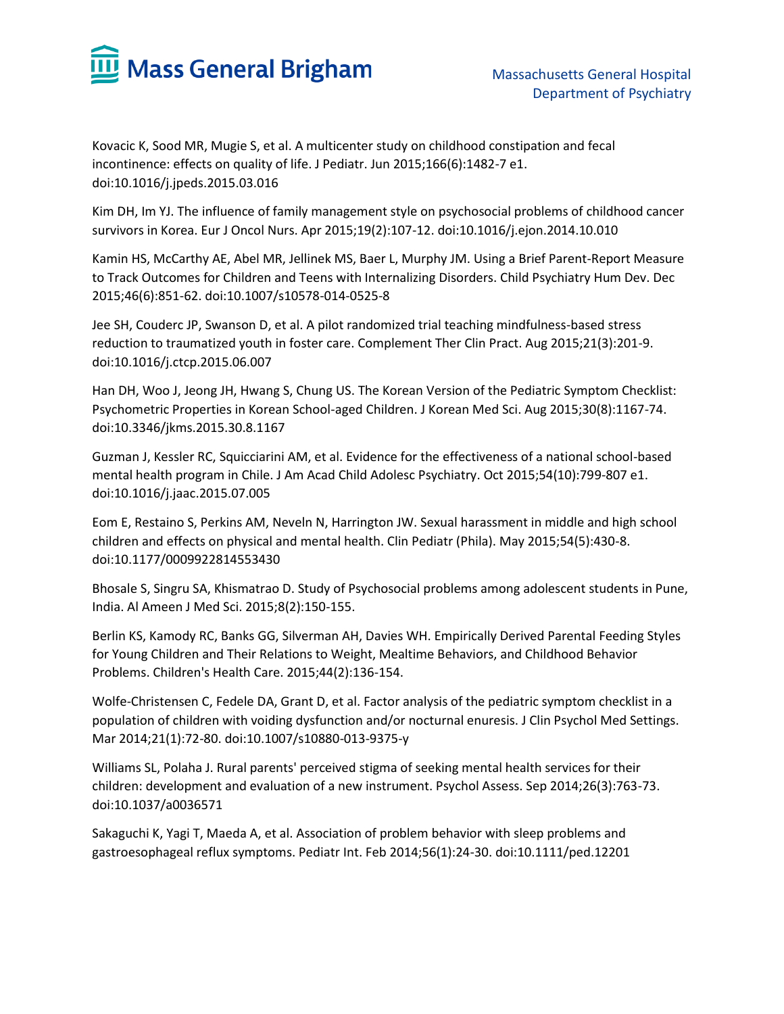

Kovacic K, Sood MR, Mugie S, et al. A multicenter study on childhood constipation and fecal incontinence: effects on quality of life. J Pediatr. Jun 2015;166(6):1482-7 e1. doi:10.1016/j.jpeds.2015.03.016

Kim DH, Im YJ. The influence of family management style on psychosocial problems of childhood cancer survivors in Korea. Eur J Oncol Nurs. Apr 2015;19(2):107-12. doi:10.1016/j.ejon.2014.10.010

Kamin HS, McCarthy AE, Abel MR, Jellinek MS, Baer L, Murphy JM. Using a Brief Parent-Report Measure to Track Outcomes for Children and Teens with Internalizing Disorders. Child Psychiatry Hum Dev. Dec 2015;46(6):851-62. doi:10.1007/s10578-014-0525-8

Jee SH, Couderc JP, Swanson D, et al. A pilot randomized trial teaching mindfulness-based stress reduction to traumatized youth in foster care. Complement Ther Clin Pract. Aug 2015;21(3):201-9. doi:10.1016/j.ctcp.2015.06.007

Han DH, Woo J, Jeong JH, Hwang S, Chung US. The Korean Version of the Pediatric Symptom Checklist: Psychometric Properties in Korean School-aged Children. J Korean Med Sci. Aug 2015;30(8):1167-74. doi:10.3346/jkms.2015.30.8.1167

Guzman J, Kessler RC, Squicciarini AM, et al. Evidence for the effectiveness of a national school-based mental health program in Chile. J Am Acad Child Adolesc Psychiatry. Oct 2015;54(10):799-807 e1. doi:10.1016/j.jaac.2015.07.005

Eom E, Restaino S, Perkins AM, Neveln N, Harrington JW. Sexual harassment in middle and high school children and effects on physical and mental health. Clin Pediatr (Phila). May 2015;54(5):430-8. doi:10.1177/0009922814553430

Bhosale S, Singru SA, Khismatrao D. Study of Psychosocial problems among adolescent students in Pune, India. Al Ameen J Med Sci. 2015;8(2):150-155.

Berlin KS, Kamody RC, Banks GG, Silverman AH, Davies WH. Empirically Derived Parental Feeding Styles for Young Children and Their Relations to Weight, Mealtime Behaviors, and Childhood Behavior Problems. Children's Health Care. 2015;44(2):136-154.

Wolfe-Christensen C, Fedele DA, Grant D, et al. Factor analysis of the pediatric symptom checklist in a population of children with voiding dysfunction and/or nocturnal enuresis. J Clin Psychol Med Settings. Mar 2014;21(1):72-80. doi:10.1007/s10880-013-9375-y

Williams SL, Polaha J. Rural parents' perceived stigma of seeking mental health services for their children: development and evaluation of a new instrument. Psychol Assess. Sep 2014;26(3):763-73. doi:10.1037/a0036571

Sakaguchi K, Yagi T, Maeda A, et al. Association of problem behavior with sleep problems and gastroesophageal reflux symptoms. Pediatr Int. Feb 2014;56(1):24-30. doi:10.1111/ped.12201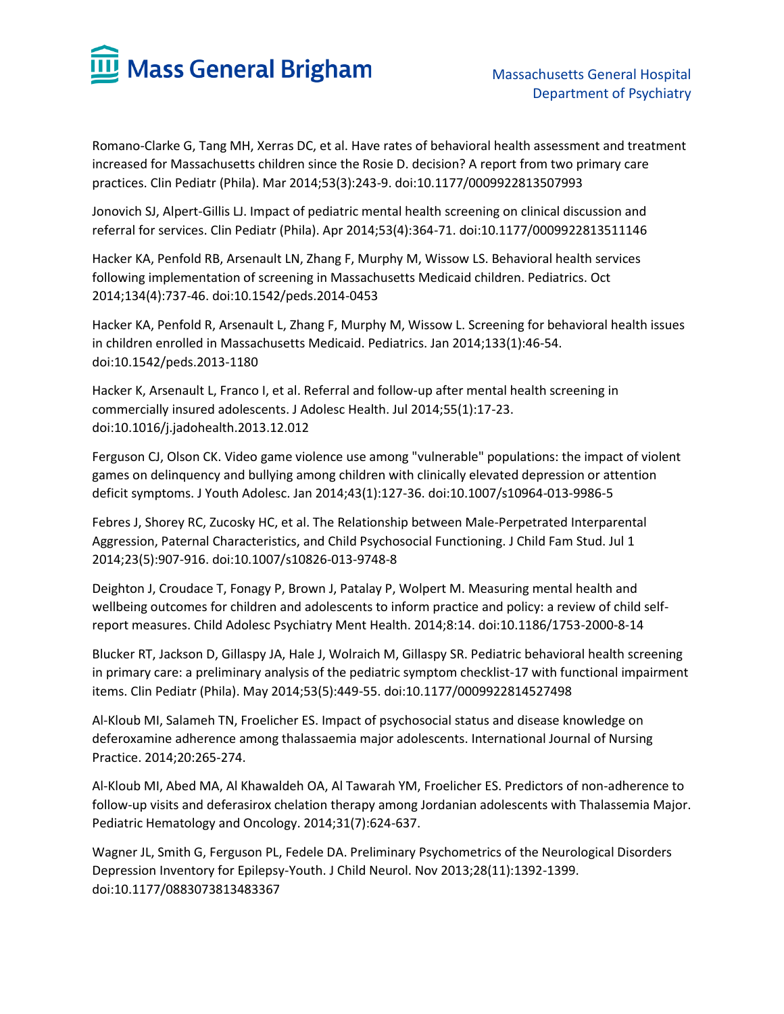

Romano-Clarke G, Tang MH, Xerras DC, et al. Have rates of behavioral health assessment and treatment increased for Massachusetts children since the Rosie D. decision? A report from two primary care practices. Clin Pediatr (Phila). Mar 2014;53(3):243-9. doi:10.1177/0009922813507993

Jonovich SJ, Alpert-Gillis LJ. Impact of pediatric mental health screening on clinical discussion and referral for services. Clin Pediatr (Phila). Apr 2014;53(4):364-71. doi:10.1177/0009922813511146

Hacker KA, Penfold RB, Arsenault LN, Zhang F, Murphy M, Wissow LS. Behavioral health services following implementation of screening in Massachusetts Medicaid children. Pediatrics. Oct 2014;134(4):737-46. doi:10.1542/peds.2014-0453

Hacker KA, Penfold R, Arsenault L, Zhang F, Murphy M, Wissow L. Screening for behavioral health issues in children enrolled in Massachusetts Medicaid. Pediatrics. Jan 2014;133(1):46-54. doi:10.1542/peds.2013-1180

Hacker K, Arsenault L, Franco I, et al. Referral and follow-up after mental health screening in commercially insured adolescents. J Adolesc Health. Jul 2014;55(1):17-23. doi:10.1016/j.jadohealth.2013.12.012

Ferguson CJ, Olson CK. Video game violence use among "vulnerable" populations: the impact of violent games on delinquency and bullying among children with clinically elevated depression or attention deficit symptoms. J Youth Adolesc. Jan 2014;43(1):127-36. doi:10.1007/s10964-013-9986-5

Febres J, Shorey RC, Zucosky HC, et al. The Relationship between Male-Perpetrated Interparental Aggression, Paternal Characteristics, and Child Psychosocial Functioning. J Child Fam Stud. Jul 1 2014;23(5):907-916. doi:10.1007/s10826-013-9748-8

Deighton J, Croudace T, Fonagy P, Brown J, Patalay P, Wolpert M. Measuring mental health and wellbeing outcomes for children and adolescents to inform practice and policy: a review of child selfreport measures. Child Adolesc Psychiatry Ment Health. 2014;8:14. doi:10.1186/1753-2000-8-14

Blucker RT, Jackson D, Gillaspy JA, Hale J, Wolraich M, Gillaspy SR. Pediatric behavioral health screening in primary care: a preliminary analysis of the pediatric symptom checklist-17 with functional impairment items. Clin Pediatr (Phila). May 2014;53(5):449-55. doi:10.1177/0009922814527498

Al-Kloub MI, Salameh TN, Froelicher ES. Impact of psychosocial status and disease knowledge on deferoxamine adherence among thalassaemia major adolescents. International Journal of Nursing Practice. 2014;20:265-274.

Al-Kloub MI, Abed MA, Al Khawaldeh OA, Al Tawarah YM, Froelicher ES. Predictors of non-adherence to follow-up visits and deferasirox chelation therapy among Jordanian adolescents with Thalassemia Major. Pediatric Hematology and Oncology. 2014;31(7):624-637.

Wagner JL, Smith G, Ferguson PL, Fedele DA. Preliminary Psychometrics of the Neurological Disorders Depression Inventory for Epilepsy-Youth. J Child Neurol. Nov 2013;28(11):1392-1399. doi:10.1177/0883073813483367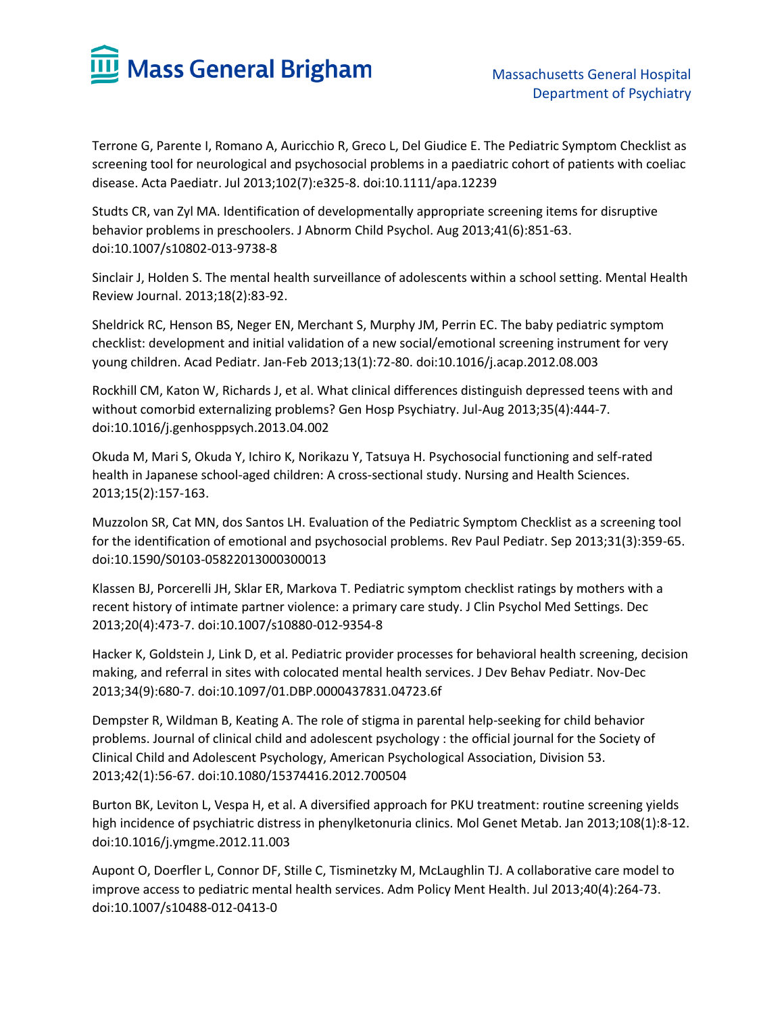

Terrone G, Parente I, Romano A, Auricchio R, Greco L, Del Giudice E. The Pediatric Symptom Checklist as screening tool for neurological and psychosocial problems in a paediatric cohort of patients with coeliac disease. Acta Paediatr. Jul 2013;102(7):e325-8. doi:10.1111/apa.12239

Studts CR, van Zyl MA. Identification of developmentally appropriate screening items for disruptive behavior problems in preschoolers. J Abnorm Child Psychol. Aug 2013;41(6):851-63. doi:10.1007/s10802-013-9738-8

Sinclair J, Holden S. The mental health surveillance of adolescents within a school setting. Mental Health Review Journal. 2013;18(2):83-92.

Sheldrick RC, Henson BS, Neger EN, Merchant S, Murphy JM, Perrin EC. The baby pediatric symptom checklist: development and initial validation of a new social/emotional screening instrument for very young children. Acad Pediatr. Jan-Feb 2013;13(1):72-80. doi:10.1016/j.acap.2012.08.003

Rockhill CM, Katon W, Richards J, et al. What clinical differences distinguish depressed teens with and without comorbid externalizing problems? Gen Hosp Psychiatry. Jul-Aug 2013;35(4):444-7. doi:10.1016/j.genhosppsych.2013.04.002

Okuda M, Mari S, Okuda Y, Ichiro K, Norikazu Y, Tatsuya H. Psychosocial functioning and self-rated health in Japanese school-aged children: A cross-sectional study. Nursing and Health Sciences. 2013;15(2):157-163.

Muzzolon SR, Cat MN, dos Santos LH. Evaluation of the Pediatric Symptom Checklist as a screening tool for the identification of emotional and psychosocial problems. Rev Paul Pediatr. Sep 2013;31(3):359-65. doi:10.1590/S0103-05822013000300013

Klassen BJ, Porcerelli JH, Sklar ER, Markova T. Pediatric symptom checklist ratings by mothers with a recent history of intimate partner violence: a primary care study. J Clin Psychol Med Settings. Dec 2013;20(4):473-7. doi:10.1007/s10880-012-9354-8

Hacker K, Goldstein J, Link D, et al. Pediatric provider processes for behavioral health screening, decision making, and referral in sites with colocated mental health services. J Dev Behav Pediatr. Nov-Dec 2013;34(9):680-7. doi:10.1097/01.DBP.0000437831.04723.6f

Dempster R, Wildman B, Keating A. The role of stigma in parental help-seeking for child behavior problems. Journal of clinical child and adolescent psychology : the official journal for the Society of Clinical Child and Adolescent Psychology, American Psychological Association, Division 53. 2013;42(1):56-67. doi:10.1080/15374416.2012.700504

Burton BK, Leviton L, Vespa H, et al. A diversified approach for PKU treatment: routine screening yields high incidence of psychiatric distress in phenylketonuria clinics. Mol Genet Metab. Jan 2013;108(1):8-12. doi:10.1016/j.ymgme.2012.11.003

Aupont O, Doerfler L, Connor DF, Stille C, Tisminetzky M, McLaughlin TJ. A collaborative care model to improve access to pediatric mental health services. Adm Policy Ment Health. Jul 2013;40(4):264-73. doi:10.1007/s10488-012-0413-0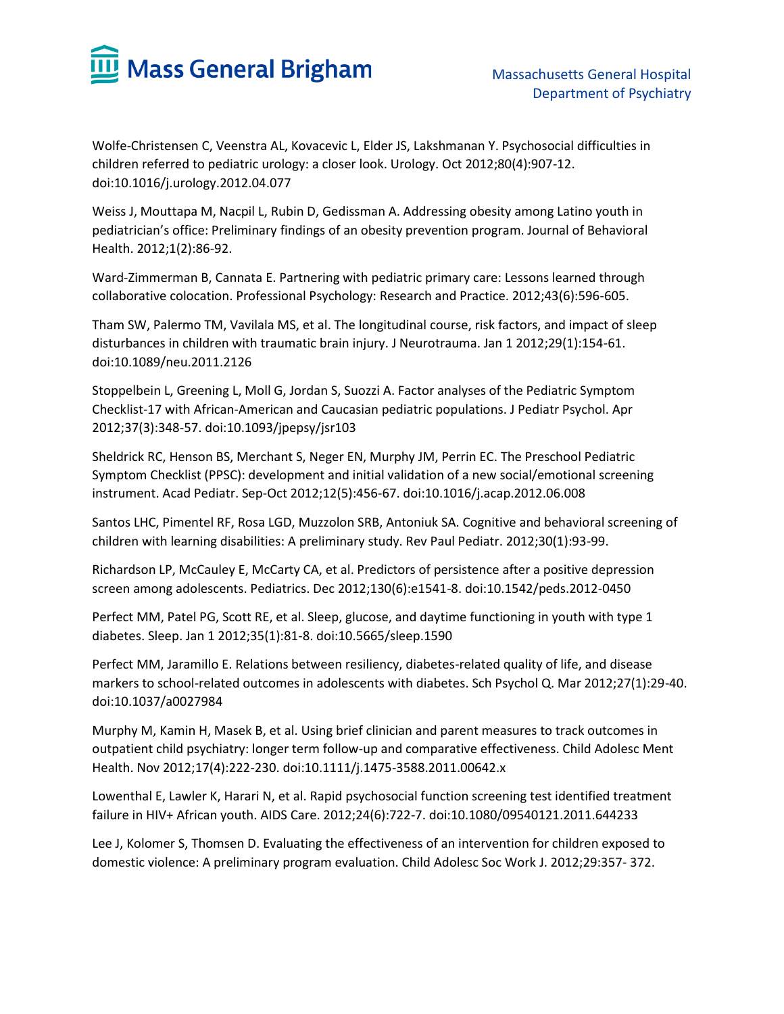

Wolfe-Christensen C, Veenstra AL, Kovacevic L, Elder JS, Lakshmanan Y. Psychosocial difficulties in children referred to pediatric urology: a closer look. Urology. Oct 2012;80(4):907-12. doi:10.1016/j.urology.2012.04.077

Weiss J, Mouttapa M, Nacpil L, Rubin D, Gedissman A. Addressing obesity among Latino youth in pediatrician's office: Preliminary findings of an obesity prevention program. Journal of Behavioral Health. 2012;1(2):86-92.

Ward-Zimmerman B, Cannata E. Partnering with pediatric primary care: Lessons learned through collaborative colocation. Professional Psychology: Research and Practice. 2012;43(6):596-605.

Tham SW, Palermo TM, Vavilala MS, et al. The longitudinal course, risk factors, and impact of sleep disturbances in children with traumatic brain injury. J Neurotrauma. Jan 1 2012;29(1):154-61. doi:10.1089/neu.2011.2126

Stoppelbein L, Greening L, Moll G, Jordan S, Suozzi A. Factor analyses of the Pediatric Symptom Checklist-17 with African-American and Caucasian pediatric populations. J Pediatr Psychol. Apr 2012;37(3):348-57. doi:10.1093/jpepsy/jsr103

Sheldrick RC, Henson BS, Merchant S, Neger EN, Murphy JM, Perrin EC. The Preschool Pediatric Symptom Checklist (PPSC): development and initial validation of a new social/emotional screening instrument. Acad Pediatr. Sep-Oct 2012;12(5):456-67. doi:10.1016/j.acap.2012.06.008

Santos LHC, Pimentel RF, Rosa LGD, Muzzolon SRB, Antoniuk SA. Cognitive and behavioral screening of children with learning disabilities: A preliminary study. Rev Paul Pediatr. 2012;30(1):93-99.

Richardson LP, McCauley E, McCarty CA, et al. Predictors of persistence after a positive depression screen among adolescents. Pediatrics. Dec 2012;130(6):e1541-8. doi:10.1542/peds.2012-0450

Perfect MM, Patel PG, Scott RE, et al. Sleep, glucose, and daytime functioning in youth with type 1 diabetes. Sleep. Jan 1 2012;35(1):81-8. doi:10.5665/sleep.1590

Perfect MM, Jaramillo E. Relations between resiliency, diabetes-related quality of life, and disease markers to school-related outcomes in adolescents with diabetes. Sch Psychol Q. Mar 2012;27(1):29-40. doi:10.1037/a0027984

Murphy M, Kamin H, Masek B, et al. Using brief clinician and parent measures to track outcomes in outpatient child psychiatry: longer term follow-up and comparative effectiveness. Child Adolesc Ment Health. Nov 2012;17(4):222-230. doi:10.1111/j.1475-3588.2011.00642.x

Lowenthal E, Lawler K, Harari N, et al. Rapid psychosocial function screening test identified treatment failure in HIV+ African youth. AIDS Care. 2012;24(6):722-7. doi:10.1080/09540121.2011.644233

Lee J, Kolomer S, Thomsen D. Evaluating the effectiveness of an intervention for children exposed to domestic violence: A preliminary program evaluation. Child Adolesc Soc Work J. 2012;29:357- 372.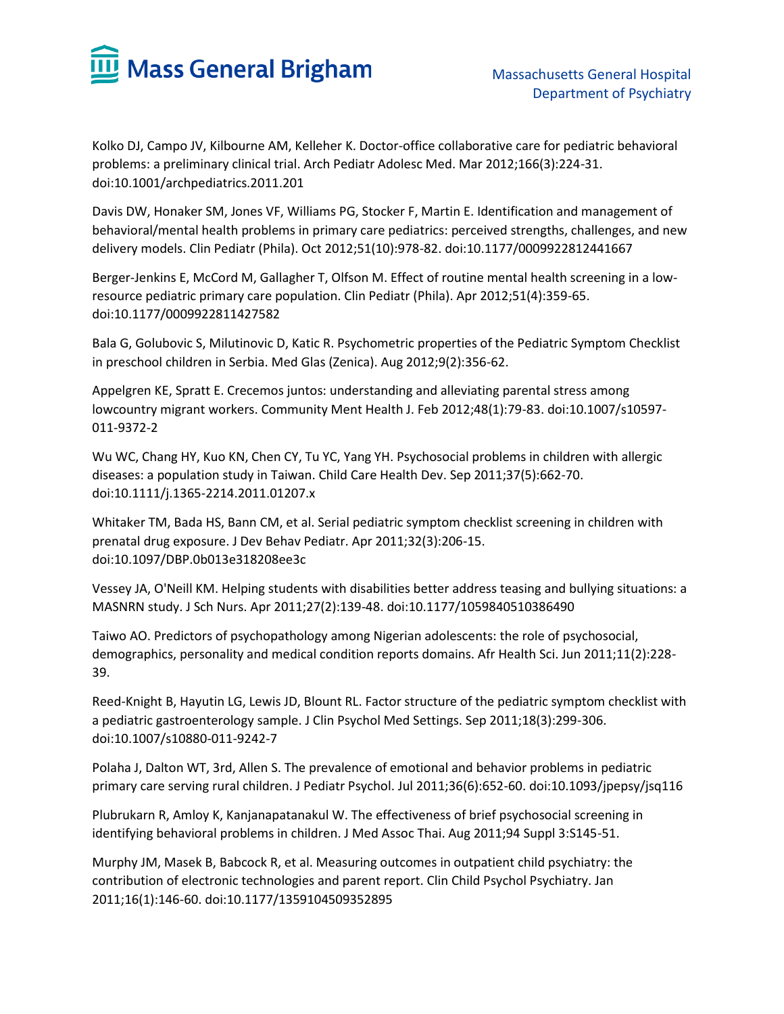

Kolko DJ, Campo JV, Kilbourne AM, Kelleher K. Doctor-office collaborative care for pediatric behavioral problems: a preliminary clinical trial. Arch Pediatr Adolesc Med. Mar 2012;166(3):224-31. doi:10.1001/archpediatrics.2011.201

Davis DW, Honaker SM, Jones VF, Williams PG, Stocker F, Martin E. Identification and management of behavioral/mental health problems in primary care pediatrics: perceived strengths, challenges, and new delivery models. Clin Pediatr (Phila). Oct 2012;51(10):978-82. doi:10.1177/0009922812441667

Berger-Jenkins E, McCord M, Gallagher T, Olfson M. Effect of routine mental health screening in a lowresource pediatric primary care population. Clin Pediatr (Phila). Apr 2012;51(4):359-65. doi:10.1177/0009922811427582

Bala G, Golubovic S, Milutinovic D, Katic R. Psychometric properties of the Pediatric Symptom Checklist in preschool children in Serbia. Med Glas (Zenica). Aug 2012;9(2):356-62.

Appelgren KE, Spratt E. Crecemos juntos: understanding and alleviating parental stress among lowcountry migrant workers. Community Ment Health J. Feb 2012;48(1):79-83. doi:10.1007/s10597- 011-9372-2

Wu WC, Chang HY, Kuo KN, Chen CY, Tu YC, Yang YH. Psychosocial problems in children with allergic diseases: a population study in Taiwan. Child Care Health Dev. Sep 2011;37(5):662-70. doi:10.1111/j.1365-2214.2011.01207.x

Whitaker TM, Bada HS, Bann CM, et al. Serial pediatric symptom checklist screening in children with prenatal drug exposure. J Dev Behav Pediatr. Apr 2011;32(3):206-15. doi:10.1097/DBP.0b013e318208ee3c

Vessey JA, O'Neill KM. Helping students with disabilities better address teasing and bullying situations: a MASNRN study. J Sch Nurs. Apr 2011;27(2):139-48. doi:10.1177/1059840510386490

Taiwo AO. Predictors of psychopathology among Nigerian adolescents: the role of psychosocial, demographics, personality and medical condition reports domains. Afr Health Sci. Jun 2011;11(2):228- 39.

Reed-Knight B, Hayutin LG, Lewis JD, Blount RL. Factor structure of the pediatric symptom checklist with a pediatric gastroenterology sample. J Clin Psychol Med Settings. Sep 2011;18(3):299-306. doi:10.1007/s10880-011-9242-7

Polaha J, Dalton WT, 3rd, Allen S. The prevalence of emotional and behavior problems in pediatric primary care serving rural children. J Pediatr Psychol. Jul 2011;36(6):652-60. doi:10.1093/jpepsy/jsq116

Plubrukarn R, Amloy K, Kanjanapatanakul W. The effectiveness of brief psychosocial screening in identifying behavioral problems in children. J Med Assoc Thai. Aug 2011;94 Suppl 3:S145-51.

Murphy JM, Masek B, Babcock R, et al. Measuring outcomes in outpatient child psychiatry: the contribution of electronic technologies and parent report. Clin Child Psychol Psychiatry. Jan 2011;16(1):146-60. doi:10.1177/1359104509352895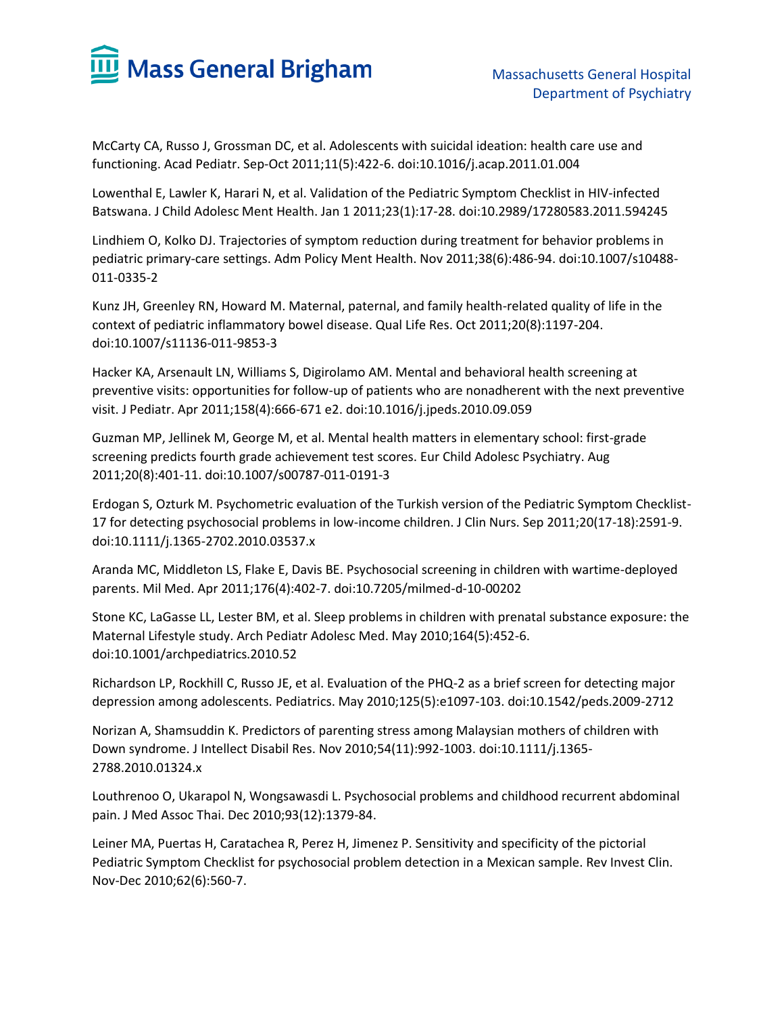

McCarty CA, Russo J, Grossman DC, et al. Adolescents with suicidal ideation: health care use and functioning. Acad Pediatr. Sep-Oct 2011;11(5):422-6. doi:10.1016/j.acap.2011.01.004

Lowenthal E, Lawler K, Harari N, et al. Validation of the Pediatric Symptom Checklist in HIV-infected Batswana. J Child Adolesc Ment Health. Jan 1 2011;23(1):17-28. doi:10.2989/17280583.2011.594245

Lindhiem O, Kolko DJ. Trajectories of symptom reduction during treatment for behavior problems in pediatric primary-care settings. Adm Policy Ment Health. Nov 2011;38(6):486-94. doi:10.1007/s10488- 011-0335-2

Kunz JH, Greenley RN, Howard M. Maternal, paternal, and family health-related quality of life in the context of pediatric inflammatory bowel disease. Qual Life Res. Oct 2011;20(8):1197-204. doi:10.1007/s11136-011-9853-3

Hacker KA, Arsenault LN, Williams S, Digirolamo AM. Mental and behavioral health screening at preventive visits: opportunities for follow-up of patients who are nonadherent with the next preventive visit. J Pediatr. Apr 2011;158(4):666-671 e2. doi:10.1016/j.jpeds.2010.09.059

Guzman MP, Jellinek M, George M, et al. Mental health matters in elementary school: first-grade screening predicts fourth grade achievement test scores. Eur Child Adolesc Psychiatry. Aug 2011;20(8):401-11. doi:10.1007/s00787-011-0191-3

Erdogan S, Ozturk M. Psychometric evaluation of the Turkish version of the Pediatric Symptom Checklist-17 for detecting psychosocial problems in low-income children. J Clin Nurs. Sep 2011;20(17-18):2591-9. doi:10.1111/j.1365-2702.2010.03537.x

Aranda MC, Middleton LS, Flake E, Davis BE. Psychosocial screening in children with wartime-deployed parents. Mil Med. Apr 2011;176(4):402-7. doi:10.7205/milmed-d-10-00202

Stone KC, LaGasse LL, Lester BM, et al. Sleep problems in children with prenatal substance exposure: the Maternal Lifestyle study. Arch Pediatr Adolesc Med. May 2010;164(5):452-6. doi:10.1001/archpediatrics.2010.52

Richardson LP, Rockhill C, Russo JE, et al. Evaluation of the PHQ-2 as a brief screen for detecting major depression among adolescents. Pediatrics. May 2010;125(5):e1097-103. doi:10.1542/peds.2009-2712

Norizan A, Shamsuddin K. Predictors of parenting stress among Malaysian mothers of children with Down syndrome. J Intellect Disabil Res. Nov 2010;54(11):992-1003. doi:10.1111/j.1365- 2788.2010.01324.x

Louthrenoo O, Ukarapol N, Wongsawasdi L. Psychosocial problems and childhood recurrent abdominal pain. J Med Assoc Thai. Dec 2010;93(12):1379-84.

Leiner MA, Puertas H, Caratachea R, Perez H, Jimenez P. Sensitivity and specificity of the pictorial Pediatric Symptom Checklist for psychosocial problem detection in a Mexican sample. Rev Invest Clin. Nov-Dec 2010;62(6):560-7.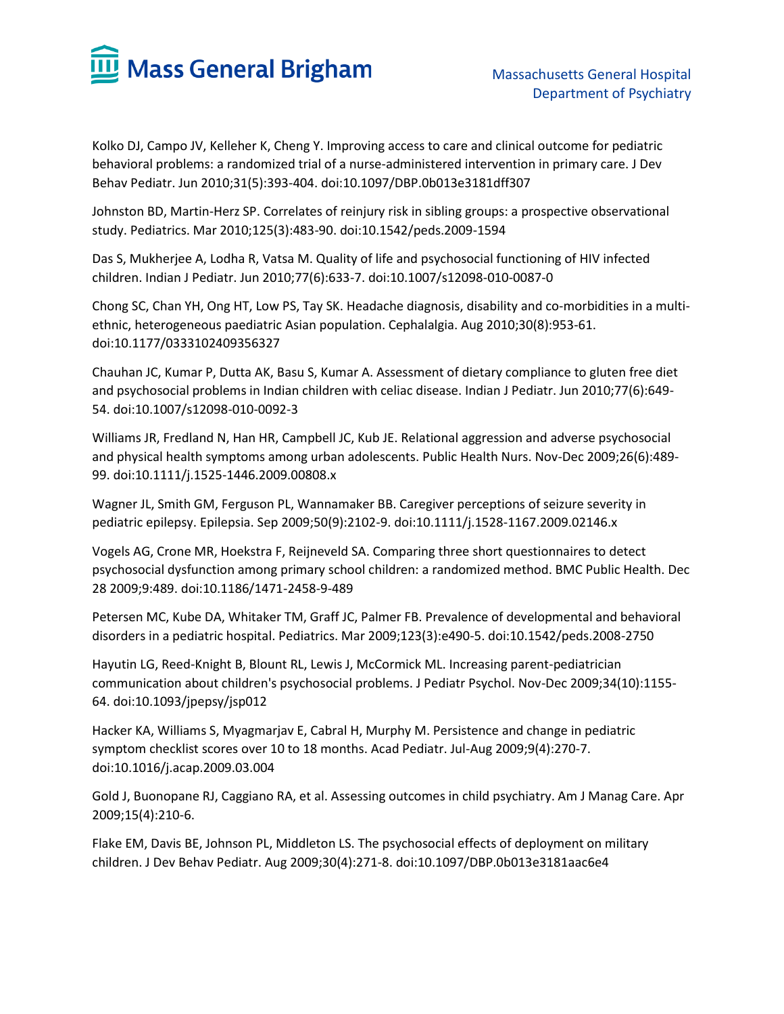

Kolko DJ, Campo JV, Kelleher K, Cheng Y. Improving access to care and clinical outcome for pediatric behavioral problems: a randomized trial of a nurse-administered intervention in primary care. J Dev Behav Pediatr. Jun 2010;31(5):393-404. doi:10.1097/DBP.0b013e3181dff307

Johnston BD, Martin-Herz SP. Correlates of reinjury risk in sibling groups: a prospective observational study. Pediatrics. Mar 2010;125(3):483-90. doi:10.1542/peds.2009-1594

Das S, Mukherjee A, Lodha R, Vatsa M. Quality of life and psychosocial functioning of HIV infected children. Indian J Pediatr. Jun 2010;77(6):633-7. doi:10.1007/s12098-010-0087-0

Chong SC, Chan YH, Ong HT, Low PS, Tay SK. Headache diagnosis, disability and co-morbidities in a multiethnic, heterogeneous paediatric Asian population. Cephalalgia. Aug 2010;30(8):953-61. doi:10.1177/0333102409356327

Chauhan JC, Kumar P, Dutta AK, Basu S, Kumar A. Assessment of dietary compliance to gluten free diet and psychosocial problems in Indian children with celiac disease. Indian J Pediatr. Jun 2010;77(6):649- 54. doi:10.1007/s12098-010-0092-3

Williams JR, Fredland N, Han HR, Campbell JC, Kub JE. Relational aggression and adverse psychosocial and physical health symptoms among urban adolescents. Public Health Nurs. Nov-Dec 2009;26(6):489- 99. doi:10.1111/j.1525-1446.2009.00808.x

Wagner JL, Smith GM, Ferguson PL, Wannamaker BB. Caregiver perceptions of seizure severity in pediatric epilepsy. Epilepsia. Sep 2009;50(9):2102-9. doi:10.1111/j.1528-1167.2009.02146.x

Vogels AG, Crone MR, Hoekstra F, Reijneveld SA. Comparing three short questionnaires to detect psychosocial dysfunction among primary school children: a randomized method. BMC Public Health. Dec 28 2009;9:489. doi:10.1186/1471-2458-9-489

Petersen MC, Kube DA, Whitaker TM, Graff JC, Palmer FB. Prevalence of developmental and behavioral disorders in a pediatric hospital. Pediatrics. Mar 2009;123(3):e490-5. doi:10.1542/peds.2008-2750

Hayutin LG, Reed-Knight B, Blount RL, Lewis J, McCormick ML. Increasing parent-pediatrician communication about children's psychosocial problems. J Pediatr Psychol. Nov-Dec 2009;34(10):1155- 64. doi:10.1093/jpepsy/jsp012

Hacker KA, Williams S, Myagmarjav E, Cabral H, Murphy M. Persistence and change in pediatric symptom checklist scores over 10 to 18 months. Acad Pediatr. Jul-Aug 2009;9(4):270-7. doi:10.1016/j.acap.2009.03.004

Gold J, Buonopane RJ, Caggiano RA, et al. Assessing outcomes in child psychiatry. Am J Manag Care. Apr 2009;15(4):210-6.

Flake EM, Davis BE, Johnson PL, Middleton LS. The psychosocial effects of deployment on military children. J Dev Behav Pediatr. Aug 2009;30(4):271-8. doi:10.1097/DBP.0b013e3181aac6e4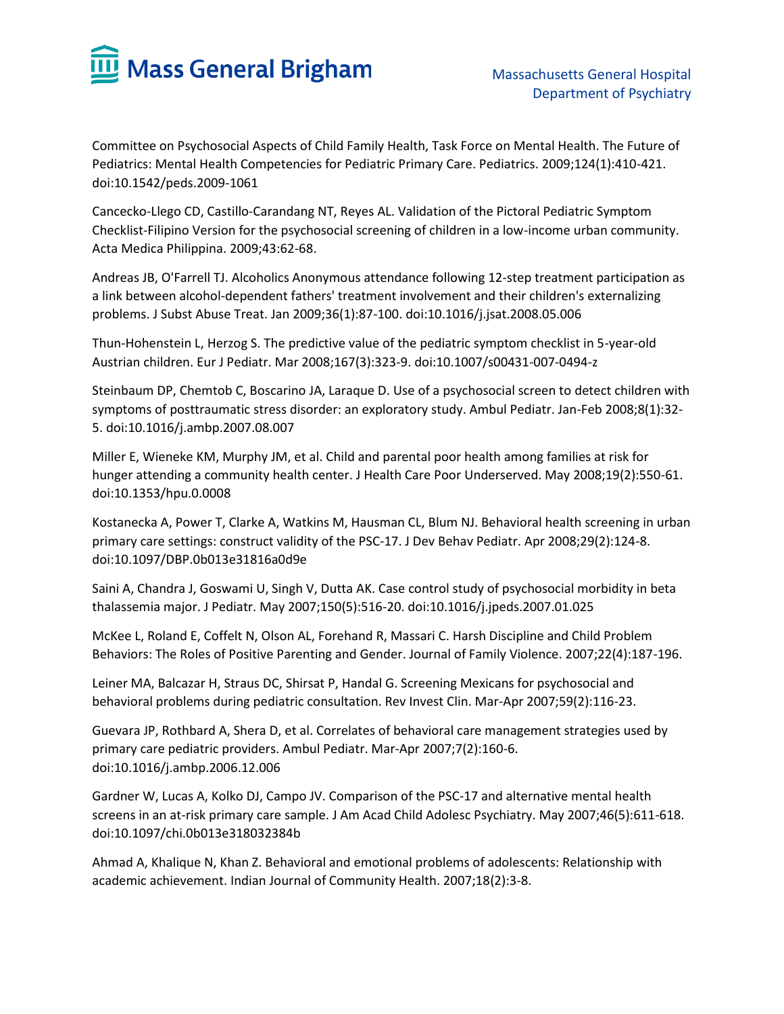

Committee on Psychosocial Aspects of Child Family Health, Task Force on Mental Health. The Future of Pediatrics: Mental Health Competencies for Pediatric Primary Care. Pediatrics. 2009;124(1):410-421. doi:10.1542/peds.2009-1061

Cancecko-Llego CD, Castillo-Carandang NT, Reyes AL. Validation of the Pictoral Pediatric Symptom Checklist-Filipino Version for the psychosocial screening of children in a low-income urban community. Acta Medica Philippina. 2009;43:62-68.

Andreas JB, O'Farrell TJ. Alcoholics Anonymous attendance following 12-step treatment participation as a link between alcohol-dependent fathers' treatment involvement and their children's externalizing problems. J Subst Abuse Treat. Jan 2009;36(1):87-100. doi:10.1016/j.jsat.2008.05.006

Thun-Hohenstein L, Herzog S. The predictive value of the pediatric symptom checklist in 5-year-old Austrian children. Eur J Pediatr. Mar 2008;167(3):323-9. doi:10.1007/s00431-007-0494-z

Steinbaum DP, Chemtob C, Boscarino JA, Laraque D. Use of a psychosocial screen to detect children with symptoms of posttraumatic stress disorder: an exploratory study. Ambul Pediatr. Jan-Feb 2008;8(1):32- 5. doi:10.1016/j.ambp.2007.08.007

Miller E, Wieneke KM, Murphy JM, et al. Child and parental poor health among families at risk for hunger attending a community health center. J Health Care Poor Underserved. May 2008;19(2):550-61. doi:10.1353/hpu.0.0008

Kostanecka A, Power T, Clarke A, Watkins M, Hausman CL, Blum NJ. Behavioral health screening in urban primary care settings: construct validity of the PSC-17. J Dev Behav Pediatr. Apr 2008;29(2):124-8. doi:10.1097/DBP.0b013e31816a0d9e

Saini A, Chandra J, Goswami U, Singh V, Dutta AK. Case control study of psychosocial morbidity in beta thalassemia major. J Pediatr. May 2007;150(5):516-20. doi:10.1016/j.jpeds.2007.01.025

McKee L, Roland E, Coffelt N, Olson AL, Forehand R, Massari C. Harsh Discipline and Child Problem Behaviors: The Roles of Positive Parenting and Gender. Journal of Family Violence. 2007;22(4):187-196.

Leiner MA, Balcazar H, Straus DC, Shirsat P, Handal G. Screening Mexicans for psychosocial and behavioral problems during pediatric consultation. Rev Invest Clin. Mar-Apr 2007;59(2):116-23.

Guevara JP, Rothbard A, Shera D, et al. Correlates of behavioral care management strategies used by primary care pediatric providers. Ambul Pediatr. Mar-Apr 2007;7(2):160-6. doi:10.1016/j.ambp.2006.12.006

Gardner W, Lucas A, Kolko DJ, Campo JV. Comparison of the PSC-17 and alternative mental health screens in an at-risk primary care sample. J Am Acad Child Adolesc Psychiatry. May 2007;46(5):611-618. doi:10.1097/chi.0b013e318032384b

Ahmad A, Khalique N, Khan Z. Behavioral and emotional problems of adolescents: Relationship with academic achievement. Indian Journal of Community Health. 2007;18(2):3-8.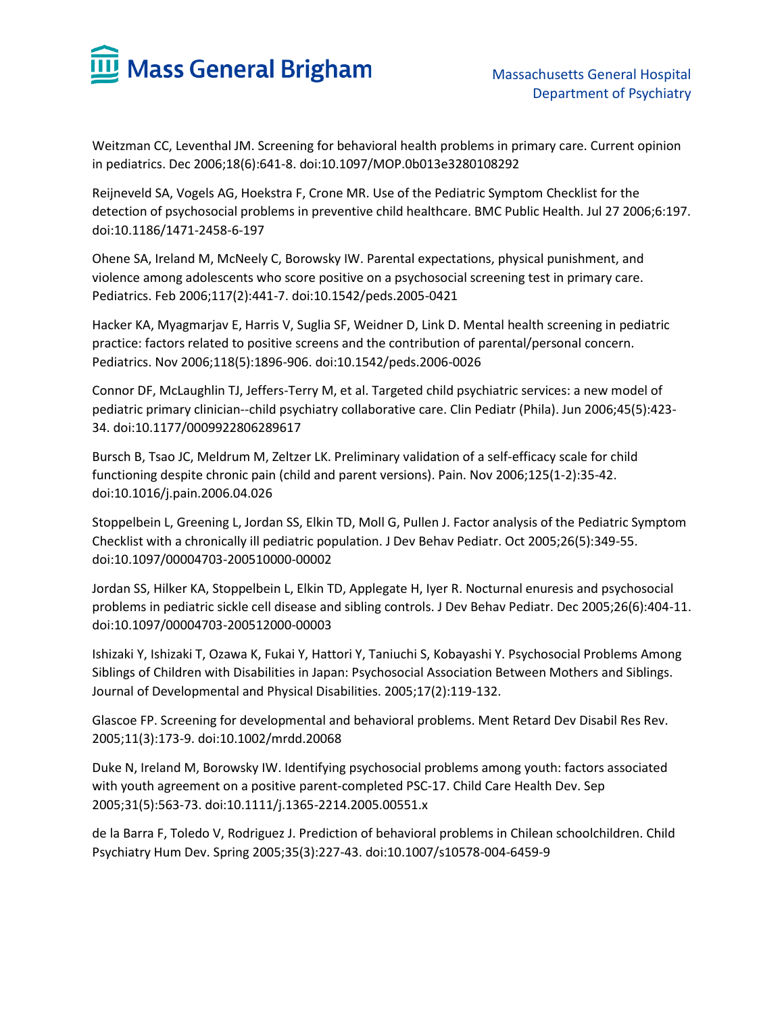

Weitzman CC, Leventhal JM. Screening for behavioral health problems in primary care. Current opinion in pediatrics. Dec 2006;18(6):641-8. doi:10.1097/MOP.0b013e3280108292

Reijneveld SA, Vogels AG, Hoekstra F, Crone MR. Use of the Pediatric Symptom Checklist for the detection of psychosocial problems in preventive child healthcare. BMC Public Health. Jul 27 2006;6:197. doi:10.1186/1471-2458-6-197

Ohene SA, Ireland M, McNeely C, Borowsky IW. Parental expectations, physical punishment, and violence among adolescents who score positive on a psychosocial screening test in primary care. Pediatrics. Feb 2006;117(2):441-7. doi:10.1542/peds.2005-0421

Hacker KA, Myagmarjav E, Harris V, Suglia SF, Weidner D, Link D. Mental health screening in pediatric practice: factors related to positive screens and the contribution of parental/personal concern. Pediatrics. Nov 2006;118(5):1896-906. doi:10.1542/peds.2006-0026

Connor DF, McLaughlin TJ, Jeffers-Terry M, et al. Targeted child psychiatric services: a new model of pediatric primary clinician--child psychiatry collaborative care. Clin Pediatr (Phila). Jun 2006;45(5):423- 34. doi:10.1177/0009922806289617

Bursch B, Tsao JC, Meldrum M, Zeltzer LK. Preliminary validation of a self-efficacy scale for child functioning despite chronic pain (child and parent versions). Pain. Nov 2006;125(1-2):35-42. doi:10.1016/j.pain.2006.04.026

Stoppelbein L, Greening L, Jordan SS, Elkin TD, Moll G, Pullen J. Factor analysis of the Pediatric Symptom Checklist with a chronically ill pediatric population. J Dev Behav Pediatr. Oct 2005;26(5):349-55. doi:10.1097/00004703-200510000-00002

Jordan SS, Hilker KA, Stoppelbein L, Elkin TD, Applegate H, Iyer R. Nocturnal enuresis and psychosocial problems in pediatric sickle cell disease and sibling controls. J Dev Behav Pediatr. Dec 2005;26(6):404-11. doi:10.1097/00004703-200512000-00003

Ishizaki Y, Ishizaki T, Ozawa K, Fukai Y, Hattori Y, Taniuchi S, Kobayashi Y. Psychosocial Problems Among Siblings of Children with Disabilities in Japan: Psychosocial Association Between Mothers and Siblings. Journal of Developmental and Physical Disabilities. 2005;17(2):119-132.

Glascoe FP. Screening for developmental and behavioral problems. Ment Retard Dev Disabil Res Rev. 2005;11(3):173-9. doi:10.1002/mrdd.20068

Duke N, Ireland M, Borowsky IW. Identifying psychosocial problems among youth: factors associated with youth agreement on a positive parent-completed PSC-17. Child Care Health Dev. Sep 2005;31(5):563-73. doi:10.1111/j.1365-2214.2005.00551.x

de la Barra F, Toledo V, Rodriguez J. Prediction of behavioral problems in Chilean schoolchildren. Child Psychiatry Hum Dev. Spring 2005;35(3):227-43. doi:10.1007/s10578-004-6459-9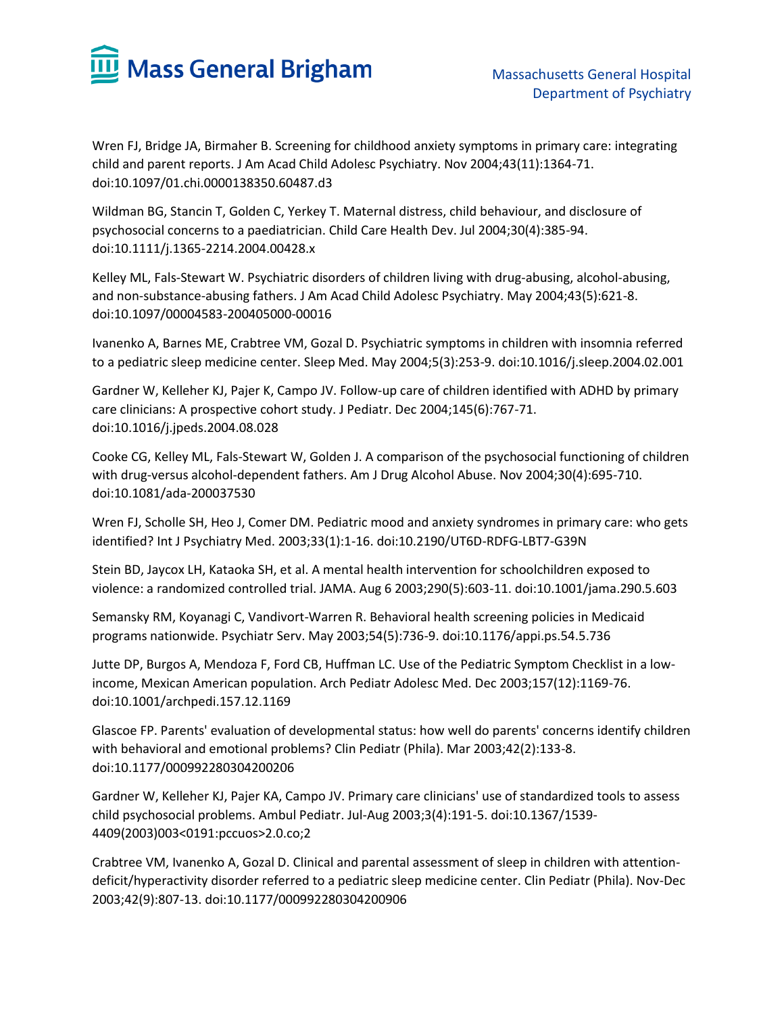

Wren FJ, Bridge JA, Birmaher B. Screening for childhood anxiety symptoms in primary care: integrating child and parent reports. J Am Acad Child Adolesc Psychiatry. Nov 2004;43(11):1364-71. doi:10.1097/01.chi.0000138350.60487.d3

Wildman BG, Stancin T, Golden C, Yerkey T. Maternal distress, child behaviour, and disclosure of psychosocial concerns to a paediatrician. Child Care Health Dev. Jul 2004;30(4):385-94. doi:10.1111/j.1365-2214.2004.00428.x

Kelley ML, Fals-Stewart W. Psychiatric disorders of children living with drug-abusing, alcohol-abusing, and non-substance-abusing fathers. J Am Acad Child Adolesc Psychiatry. May 2004;43(5):621-8. doi:10.1097/00004583-200405000-00016

Ivanenko A, Barnes ME, Crabtree VM, Gozal D. Psychiatric symptoms in children with insomnia referred to a pediatric sleep medicine center. Sleep Med. May 2004;5(3):253-9. doi:10.1016/j.sleep.2004.02.001

Gardner W, Kelleher KJ, Pajer K, Campo JV. Follow-up care of children identified with ADHD by primary care clinicians: A prospective cohort study. J Pediatr. Dec 2004;145(6):767-71. doi:10.1016/j.jpeds.2004.08.028

Cooke CG, Kelley ML, Fals-Stewart W, Golden J. A comparison of the psychosocial functioning of children with drug-versus alcohol-dependent fathers. Am J Drug Alcohol Abuse. Nov 2004;30(4):695-710. doi:10.1081/ada-200037530

Wren FJ, Scholle SH, Heo J, Comer DM. Pediatric mood and anxiety syndromes in primary care: who gets identified? Int J Psychiatry Med. 2003;33(1):1-16. doi:10.2190/UT6D-RDFG-LBT7-G39N

Stein BD, Jaycox LH, Kataoka SH, et al. A mental health intervention for schoolchildren exposed to violence: a randomized controlled trial. JAMA. Aug 6 2003;290(5):603-11. doi:10.1001/jama.290.5.603

Semansky RM, Koyanagi C, Vandivort-Warren R. Behavioral health screening policies in Medicaid programs nationwide. Psychiatr Serv. May 2003;54(5):736-9. doi:10.1176/appi.ps.54.5.736

Jutte DP, Burgos A, Mendoza F, Ford CB, Huffman LC. Use of the Pediatric Symptom Checklist in a lowincome, Mexican American population. Arch Pediatr Adolesc Med. Dec 2003;157(12):1169-76. doi:10.1001/archpedi.157.12.1169

Glascoe FP. Parents' evaluation of developmental status: how well do parents' concerns identify children with behavioral and emotional problems? Clin Pediatr (Phila). Mar 2003;42(2):133-8. doi:10.1177/000992280304200206

Gardner W, Kelleher KJ, Pajer KA, Campo JV. Primary care clinicians' use of standardized tools to assess child psychosocial problems. Ambul Pediatr. Jul-Aug 2003;3(4):191-5. doi:10.1367/1539- 4409(2003)003<0191:pccuos>2.0.co;2

Crabtree VM, Ivanenko A, Gozal D. Clinical and parental assessment of sleep in children with attentiondeficit/hyperactivity disorder referred to a pediatric sleep medicine center. Clin Pediatr (Phila). Nov-Dec 2003;42(9):807-13. doi:10.1177/000992280304200906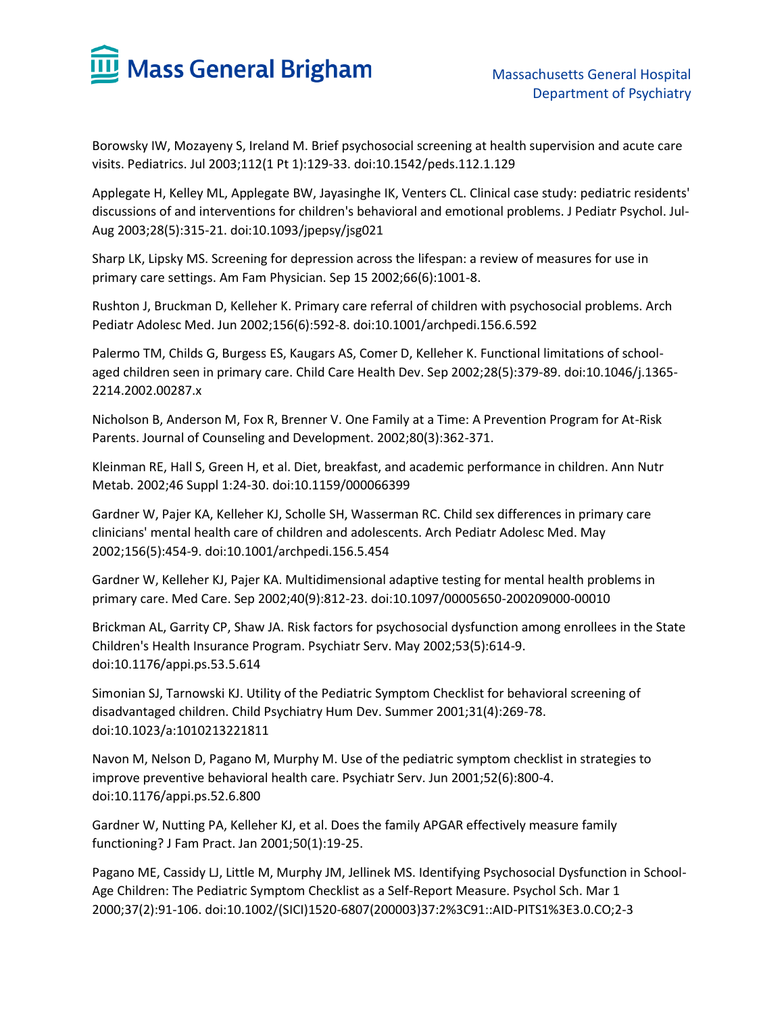

Borowsky IW, Mozayeny S, Ireland M. Brief psychosocial screening at health supervision and acute care visits. Pediatrics. Jul 2003;112(1 Pt 1):129-33. doi:10.1542/peds.112.1.129

Applegate H, Kelley ML, Applegate BW, Jayasinghe IK, Venters CL. Clinical case study: pediatric residents' discussions of and interventions for children's behavioral and emotional problems. J Pediatr Psychol. Jul-Aug 2003;28(5):315-21. doi:10.1093/jpepsy/jsg021

Sharp LK, Lipsky MS. Screening for depression across the lifespan: a review of measures for use in primary care settings. Am Fam Physician. Sep 15 2002;66(6):1001-8.

Rushton J, Bruckman D, Kelleher K. Primary care referral of children with psychosocial problems. Arch Pediatr Adolesc Med. Jun 2002;156(6):592-8. doi:10.1001/archpedi.156.6.592

Palermo TM, Childs G, Burgess ES, Kaugars AS, Comer D, Kelleher K. Functional limitations of schoolaged children seen in primary care. Child Care Health Dev. Sep 2002;28(5):379-89. doi:10.1046/j.1365- 2214.2002.00287.x

Nicholson B, Anderson M, Fox R, Brenner V. One Family at a Time: A Prevention Program for At-Risk Parents. Journal of Counseling and Development. 2002;80(3):362-371.

Kleinman RE, Hall S, Green H, et al. Diet, breakfast, and academic performance in children. Ann Nutr Metab. 2002;46 Suppl 1:24-30. doi:10.1159/000066399

Gardner W, Pajer KA, Kelleher KJ, Scholle SH, Wasserman RC. Child sex differences in primary care clinicians' mental health care of children and adolescents. Arch Pediatr Adolesc Med. May 2002;156(5):454-9. doi:10.1001/archpedi.156.5.454

Gardner W, Kelleher KJ, Pajer KA. Multidimensional adaptive testing for mental health problems in primary care. Med Care. Sep 2002;40(9):812-23. doi:10.1097/00005650-200209000-00010

Brickman AL, Garrity CP, Shaw JA. Risk factors for psychosocial dysfunction among enrollees in the State Children's Health Insurance Program. Psychiatr Serv. May 2002;53(5):614-9. doi:10.1176/appi.ps.53.5.614

Simonian SJ, Tarnowski KJ. Utility of the Pediatric Symptom Checklist for behavioral screening of disadvantaged children. Child Psychiatry Hum Dev. Summer 2001;31(4):269-78. doi:10.1023/a:1010213221811

Navon M, Nelson D, Pagano M, Murphy M. Use of the pediatric symptom checklist in strategies to improve preventive behavioral health care. Psychiatr Serv. Jun 2001;52(6):800-4. doi:10.1176/appi.ps.52.6.800

Gardner W, Nutting PA, Kelleher KJ, et al. Does the family APGAR effectively measure family functioning? J Fam Pract. Jan 2001;50(1):19-25.

Pagano ME, Cassidy LJ, Little M, Murphy JM, Jellinek MS. Identifying Psychosocial Dysfunction in School-Age Children: The Pediatric Symptom Checklist as a Self-Report Measure. Psychol Sch. Mar 1 2000;37(2):91-106. doi:10.1002/(SICI)1520-6807(200003)37:2%3C91::AID-PITS1%3E3.0.CO;2-3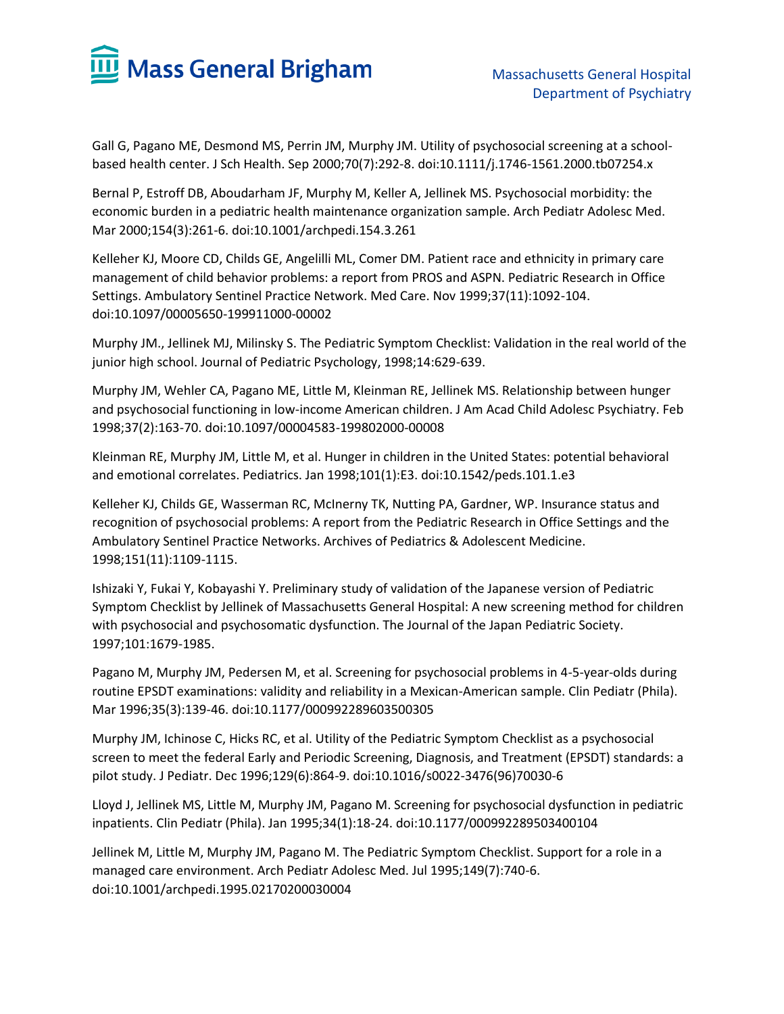

Gall G, Pagano ME, Desmond MS, Perrin JM, Murphy JM. Utility of psychosocial screening at a schoolbased health center. J Sch Health. Sep 2000;70(7):292-8. doi:10.1111/j.1746-1561.2000.tb07254.x

Bernal P, Estroff DB, Aboudarham JF, Murphy M, Keller A, Jellinek MS. Psychosocial morbidity: the economic burden in a pediatric health maintenance organization sample. Arch Pediatr Adolesc Med. Mar 2000;154(3):261-6. doi:10.1001/archpedi.154.3.261

Kelleher KJ, Moore CD, Childs GE, Angelilli ML, Comer DM. Patient race and ethnicity in primary care management of child behavior problems: a report from PROS and ASPN. Pediatric Research in Office Settings. Ambulatory Sentinel Practice Network. Med Care. Nov 1999;37(11):1092-104. doi:10.1097/00005650-199911000-00002

Murphy JM., Jellinek MJ, Milinsky S. The Pediatric Symptom Checklist: Validation in the real world of the junior high school. Journal of Pediatric Psychology, 1998;14:629-639.

Murphy JM, Wehler CA, Pagano ME, Little M, Kleinman RE, Jellinek MS. Relationship between hunger and psychosocial functioning in low-income American children. J Am Acad Child Adolesc Psychiatry. Feb 1998;37(2):163-70. doi:10.1097/00004583-199802000-00008

Kleinman RE, Murphy JM, Little M, et al. Hunger in children in the United States: potential behavioral and emotional correlates. Pediatrics. Jan 1998;101(1):E3. doi:10.1542/peds.101.1.e3

Kelleher KJ, Childs GE, Wasserman RC, McInerny TK, Nutting PA, Gardner, WP. Insurance status and recognition of psychosocial problems: A report from the Pediatric Research in Office Settings and the Ambulatory Sentinel Practice Networks. Archives of Pediatrics & Adolescent Medicine. 1998;151(11):1109-1115.

Ishizaki Y, Fukai Y, Kobayashi Y. Preliminary study of validation of the Japanese version of Pediatric Symptom Checklist by Jellinek of Massachusetts General Hospital: A new screening method for children with psychosocial and psychosomatic dysfunction. The Journal of the Japan Pediatric Society. 1997;101:1679-1985.

Pagano M, Murphy JM, Pedersen M, et al. Screening for psychosocial problems in 4-5-year-olds during routine EPSDT examinations: validity and reliability in a Mexican-American sample. Clin Pediatr (Phila). Mar 1996;35(3):139-46. doi:10.1177/000992289603500305

Murphy JM, Ichinose C, Hicks RC, et al. Utility of the Pediatric Symptom Checklist as a psychosocial screen to meet the federal Early and Periodic Screening, Diagnosis, and Treatment (EPSDT) standards: a pilot study. J Pediatr. Dec 1996;129(6):864-9. doi:10.1016/s0022-3476(96)70030-6

Lloyd J, Jellinek MS, Little M, Murphy JM, Pagano M. Screening for psychosocial dysfunction in pediatric inpatients. Clin Pediatr (Phila). Jan 1995;34(1):18-24. doi:10.1177/000992289503400104

Jellinek M, Little M, Murphy JM, Pagano M. The Pediatric Symptom Checklist. Support for a role in a managed care environment. Arch Pediatr Adolesc Med. Jul 1995;149(7):740-6. doi:10.1001/archpedi.1995.02170200030004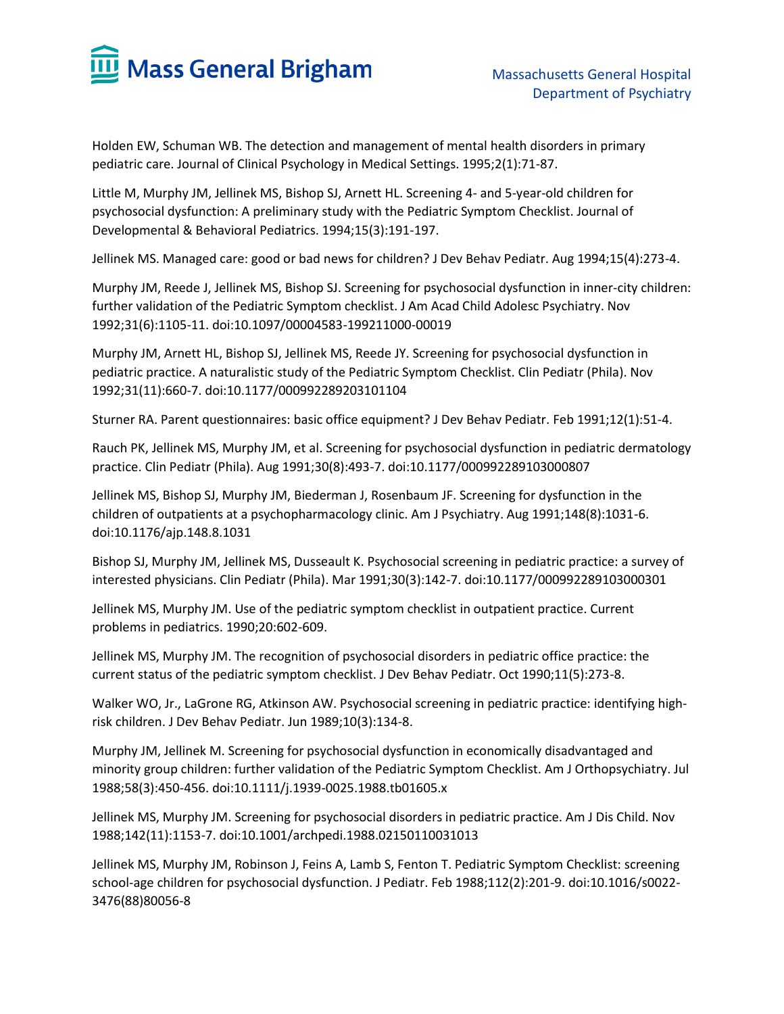

Holden EW, Schuman WB. The detection and management of mental health disorders in primary pediatric care. Journal of Clinical Psychology in Medical Settings. 1995;2(1):71-87.

Little M, Murphy JM, Jellinek MS, Bishop SJ, Arnett HL. Screening 4- and 5-year-old children for psychosocial dysfunction: A preliminary study with the Pediatric Symptom Checklist. Journal of Developmental & Behavioral Pediatrics. 1994;15(3):191-197.

Jellinek MS. Managed care: good or bad news for children? J Dev Behav Pediatr. Aug 1994;15(4):273-4.

Murphy JM, Reede J, Jellinek MS, Bishop SJ. Screening for psychosocial dysfunction in inner-city children: further validation of the Pediatric Symptom checklist. J Am Acad Child Adolesc Psychiatry. Nov 1992;31(6):1105-11. doi:10.1097/00004583-199211000-00019

Murphy JM, Arnett HL, Bishop SJ, Jellinek MS, Reede JY. Screening for psychosocial dysfunction in pediatric practice. A naturalistic study of the Pediatric Symptom Checklist. Clin Pediatr (Phila). Nov 1992;31(11):660-7. doi:10.1177/000992289203101104

Sturner RA. Parent questionnaires: basic office equipment? J Dev Behav Pediatr. Feb 1991;12(1):51-4.

Rauch PK, Jellinek MS, Murphy JM, et al. Screening for psychosocial dysfunction in pediatric dermatology practice. Clin Pediatr (Phila). Aug 1991;30(8):493-7. doi:10.1177/000992289103000807

Jellinek MS, Bishop SJ, Murphy JM, Biederman J, Rosenbaum JF. Screening for dysfunction in the children of outpatients at a psychopharmacology clinic. Am J Psychiatry. Aug 1991;148(8):1031-6. doi:10.1176/ajp.148.8.1031

Bishop SJ, Murphy JM, Jellinek MS, Dusseault K. Psychosocial screening in pediatric practice: a survey of interested physicians. Clin Pediatr (Phila). Mar 1991;30(3):142-7. doi:10.1177/000992289103000301

Jellinek MS, Murphy JM. Use of the pediatric symptom checklist in outpatient practice. Current problems in pediatrics. 1990;20:602-609.

Jellinek MS, Murphy JM. The recognition of psychosocial disorders in pediatric office practice: the current status of the pediatric symptom checklist. J Dev Behav Pediatr. Oct 1990;11(5):273-8.

Walker WO, Jr., LaGrone RG, Atkinson AW. Psychosocial screening in pediatric practice: identifying highrisk children. J Dev Behav Pediatr. Jun 1989;10(3):134-8.

Murphy JM, Jellinek M. Screening for psychosocial dysfunction in economically disadvantaged and minority group children: further validation of the Pediatric Symptom Checklist. Am J Orthopsychiatry. Jul 1988;58(3):450-456. doi:10.1111/j.1939-0025.1988.tb01605.x

Jellinek MS, Murphy JM. Screening for psychosocial disorders in pediatric practice. Am J Dis Child. Nov 1988;142(11):1153-7. doi:10.1001/archpedi.1988.02150110031013

Jellinek MS, Murphy JM, Robinson J, Feins A, Lamb S, Fenton T. Pediatric Symptom Checklist: screening school-age children for psychosocial dysfunction. J Pediatr. Feb 1988;112(2):201-9. doi:10.1016/s0022- 3476(88)80056-8